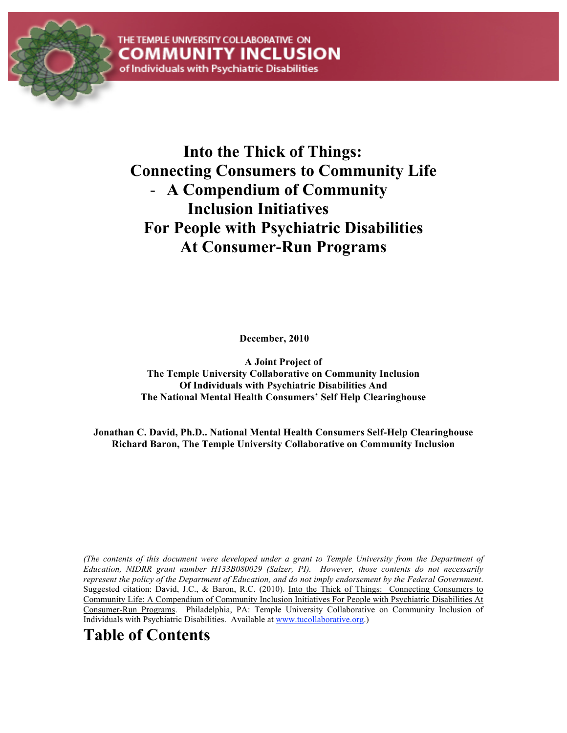

# **Into the Thick of Things: Connecting Consumers to Community Life**  - **A Compendium of Community Inclusion Initiatives For People with Psychiatric Disabilities At Consumer-Run Programs**

 **December, 2010**

**A Joint Project of The Temple University Collaborative on Community Inclusion Of Individuals with Psychiatric Disabilities And The National Mental Health Consumers' Self Help Clearinghouse**

**Jonathan C. David, Ph.D.. National Mental Health Consumers Self-Help Clearinghouse Richard Baron, The Temple University Collaborative on Community Inclusion**

*(The contents of this document were developed under a grant to Temple University from the Department of Education, NIDRR grant number H133B080029 (Salzer, PI). However, those contents do not necessarily represent the policy of the Department of Education, and do not imply endorsement by the Federal Government*. Suggested citation: David, J.C., & Baron, R.C. (2010). Into the Thick of Things: Connecting Consumers to Community Life: A Compendium of Community Inclusion Initiatives For People with Psychiatric Disabilities At Consumer-Run Programs. Philadelphia, PA: Temple University Collaborative on Community Inclusion of Individuals with Psychiatric Disabilities. Available at www.tucollaborative.org.)

# **Table of Contents**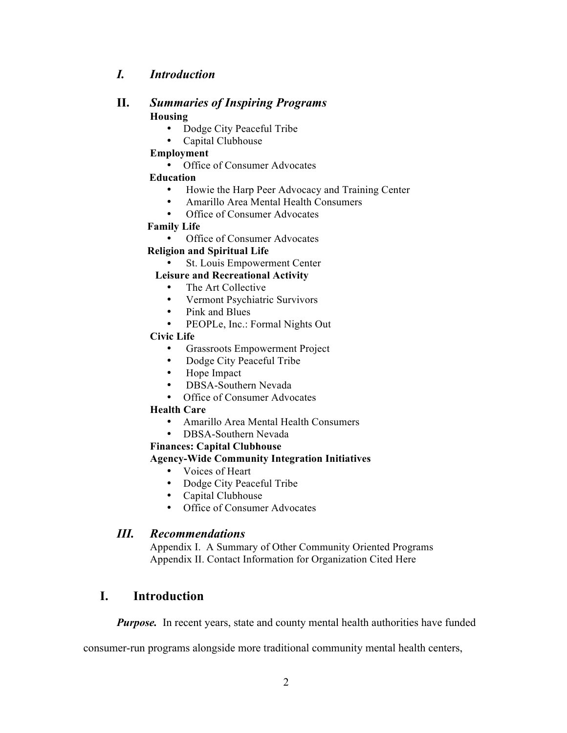# *I. Introduction*

#### **II.** *Summaries of Inspiring Programs* **Housing**

- Dodge City Peaceful Tribe<br>• Canital Clubbouse
- Capital Clubhouse

# **Employment**

• Office of Consumer Advocates

## **Education**

- Howie the Harp Peer Advocacy and Training Center
- Amarillo Area Mental Health Consumers
- Office of Consumer Advocates

# **Family Life**

Office of Consumer Advocates

# **Religion and Spiritual Life**

St. Louis Empowerment Center

# **Leisure and Recreational Activity**

- The Art Collective
- Vermont Psychiatric Survivors
- Pink and Blues
- PEOPLe, Inc.: Formal Nights Out

# **Civic Life**

- Grassroots Empowerment Project
- Dodge City Peaceful Tribe
- Hope Impact
- DBSA-Southern Nevada
- Office of Consumer Advocates

#### **Health Care**

- Amarillo Area Mental Health Consumers
- DBSA-Southern Nevada

#### **Finances: Capital Clubhouse**

# **Agency-Wide Community Integration Initiatives**

- Voices of Heart
- Dodge City Peaceful Tribe
- Capital Clubhouse
- Office of Consumer Advocates

# *III. Recommendations*

Appendix I. A Summary of Other Community Oriented Programs Appendix II. Contact Information for Organization Cited Here

# **I. Introduction**

**Purpose.** In recent years, state and county mental health authorities have funded

consumer-run programs alongside more traditional community mental health centers,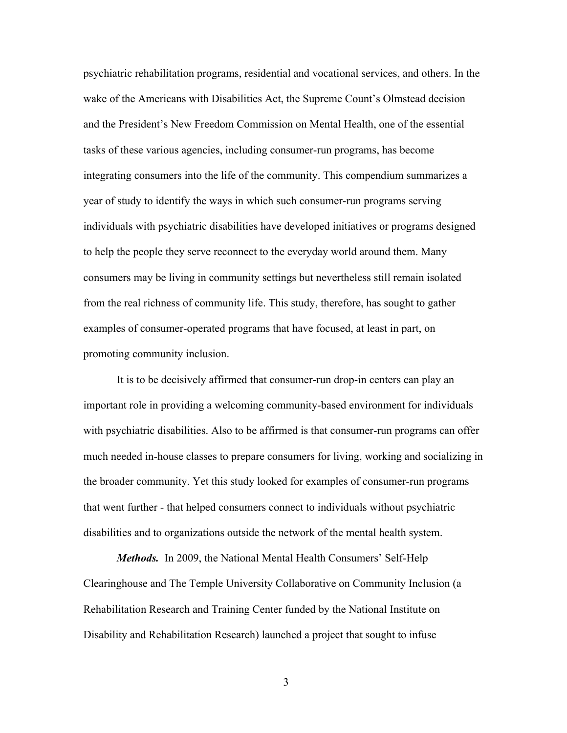psychiatric rehabilitation programs, residential and vocational services, and others. In the wake of the Americans with Disabilities Act, the Supreme Count's Olmstead decision and the President's New Freedom Commission on Mental Health, one of the essential tasks of these various agencies, including consumer-run programs, has become integrating consumers into the life of the community. This compendium summarizes a year of study to identify the ways in which such consumer-run programs serving individuals with psychiatric disabilities have developed initiatives or programs designed to help the people they serve reconnect to the everyday world around them. Many consumers may be living in community settings but nevertheless still remain isolated from the real richness of community life. This study, therefore, has sought to gather examples of consumer-operated programs that have focused, at least in part, on promoting community inclusion.

It is to be decisively affirmed that consumer-run drop-in centers can play an important role in providing a welcoming community-based environment for individuals with psychiatric disabilities. Also to be affirmed is that consumer-run programs can offer much needed in-house classes to prepare consumers for living, working and socializing in the broader community. Yet this study looked for examples of consumer-run programs that went further - that helped consumers connect to individuals without psychiatric disabilities and to organizations outside the network of the mental health system.

*Methods.* In 2009, the National Mental Health Consumers' Self-Help Clearinghouse and The Temple University Collaborative on Community Inclusion (a Rehabilitation Research and Training Center funded by the National Institute on Disability and Rehabilitation Research) launched a project that sought to infuse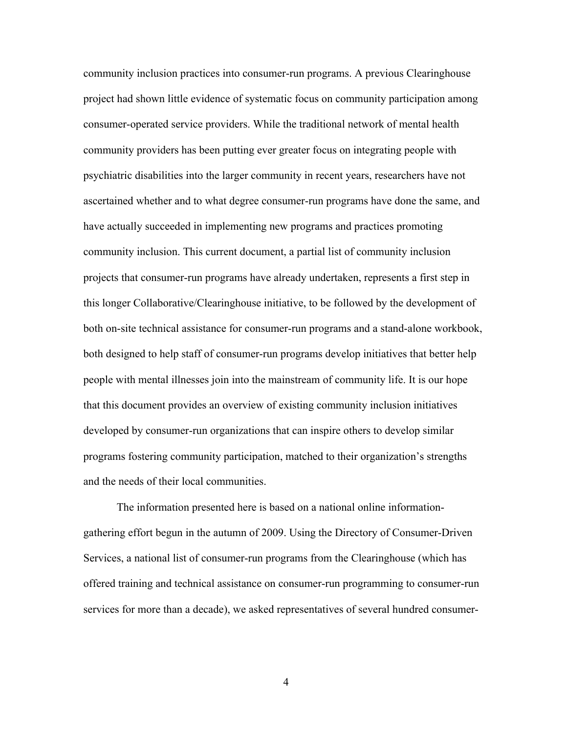community inclusion practices into consumer-run programs. A previous Clearinghouse project had shown little evidence of systematic focus on community participation among consumer-operated service providers. While the traditional network of mental health community providers has been putting ever greater focus on integrating people with psychiatric disabilities into the larger community in recent years, researchers have not ascertained whether and to what degree consumer-run programs have done the same, and have actually succeeded in implementing new programs and practices promoting community inclusion. This current document, a partial list of community inclusion projects that consumer-run programs have already undertaken, represents a first step in this longer Collaborative/Clearinghouse initiative, to be followed by the development of both on-site technical assistance for consumer-run programs and a stand-alone workbook, both designed to help staff of consumer-run programs develop initiatives that better help people with mental illnesses join into the mainstream of community life. It is our hope that this document provides an overview of existing community inclusion initiatives developed by consumer-run organizations that can inspire others to develop similar programs fostering community participation, matched to their organization's strengths and the needs of their local communities.

The information presented here is based on a national online informationgathering effort begun in the autumn of 2009. Using the Directory of Consumer-Driven Services, a national list of consumer-run programs from the Clearinghouse (which has offered training and technical assistance on consumer-run programming to consumer-run services for more than a decade), we asked representatives of several hundred consumer-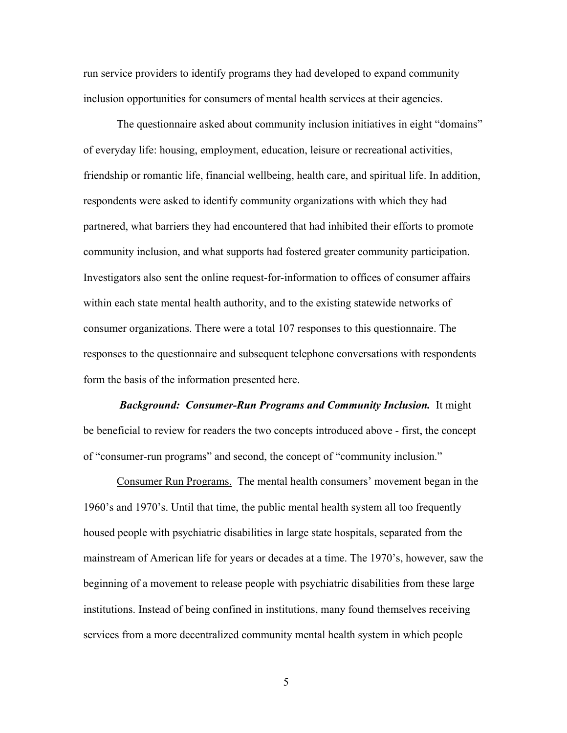run service providers to identify programs they had developed to expand community inclusion opportunities for consumers of mental health services at their agencies.

The questionnaire asked about community inclusion initiatives in eight "domains" of everyday life: housing, employment, education, leisure or recreational activities, friendship or romantic life, financial wellbeing, health care, and spiritual life. In addition, respondents were asked to identify community organizations with which they had partnered, what barriers they had encountered that had inhibited their efforts to promote community inclusion, and what supports had fostered greater community participation. Investigators also sent the online request-for-information to offices of consumer affairs within each state mental health authority, and to the existing statewide networks of consumer organizations. There were a total 107 responses to this questionnaire. The responses to the questionnaire and subsequent telephone conversations with respondents form the basis of the information presented here.

*Background: Consumer-Run Programs and Community Inclusion.* It might be beneficial to review for readers the two concepts introduced above - first, the concept of "consumer-run programs" and second, the concept of "community inclusion."

Consumer Run Programs. The mental health consumers' movement began in the 1960's and 1970's. Until that time, the public mental health system all too frequently housed people with psychiatric disabilities in large state hospitals, separated from the mainstream of American life for years or decades at a time. The 1970's, however, saw the beginning of a movement to release people with psychiatric disabilities from these large institutions. Instead of being confined in institutions, many found themselves receiving services from a more decentralized community mental health system in which people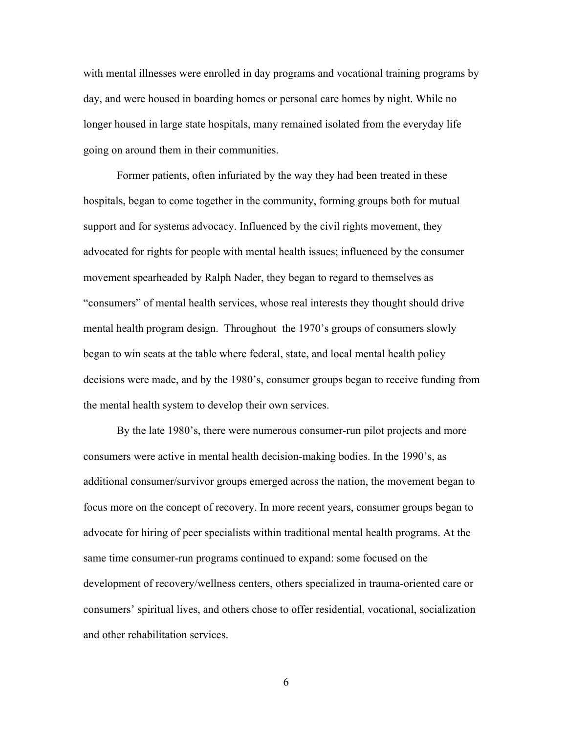with mental illnesses were enrolled in day programs and vocational training programs by day, and were housed in boarding homes or personal care homes by night. While no longer housed in large state hospitals, many remained isolated from the everyday life going on around them in their communities.

Former patients, often infuriated by the way they had been treated in these hospitals, began to come together in the community, forming groups both for mutual support and for systems advocacy. Influenced by the civil rights movement, they advocated for rights for people with mental health issues; influenced by the consumer movement spearheaded by Ralph Nader, they began to regard to themselves as "consumers" of mental health services, whose real interests they thought should drive mental health program design. Throughout the 1970's groups of consumers slowly began to win seats at the table where federal, state, and local mental health policy decisions were made, and by the 1980's, consumer groups began to receive funding from the mental health system to develop their own services.

By the late 1980's, there were numerous consumer-run pilot projects and more consumers were active in mental health decision-making bodies. In the 1990's, as additional consumer/survivor groups emerged across the nation, the movement began to focus more on the concept of recovery. In more recent years, consumer groups began to advocate for hiring of peer specialists within traditional mental health programs. At the same time consumer-run programs continued to expand: some focused on the development of recovery/wellness centers, others specialized in trauma-oriented care or consumers' spiritual lives, and others chose to offer residential, vocational, socialization and other rehabilitation services.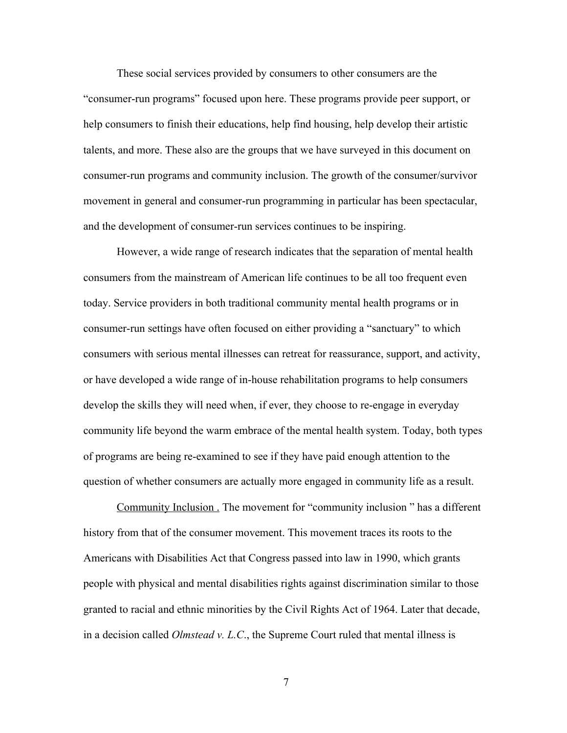These social services provided by consumers to other consumers are the "consumer-run programs" focused upon here. These programs provide peer support, or help consumers to finish their educations, help find housing, help develop their artistic talents, and more. These also are the groups that we have surveyed in this document on consumer-run programs and community inclusion. The growth of the consumer/survivor movement in general and consumer-run programming in particular has been spectacular, and the development of consumer-run services continues to be inspiring.

However, a wide range of research indicates that the separation of mental health consumers from the mainstream of American life continues to be all too frequent even today. Service providers in both traditional community mental health programs or in consumer-run settings have often focused on either providing a "sanctuary" to which consumers with serious mental illnesses can retreat for reassurance, support, and activity, or have developed a wide range of in-house rehabilitation programs to help consumers develop the skills they will need when, if ever, they choose to re-engage in everyday community life beyond the warm embrace of the mental health system. Today, both types of programs are being re-examined to see if they have paid enough attention to the question of whether consumers are actually more engaged in community life as a result.

Community Inclusion . The movement for "community inclusion " has a different history from that of the consumer movement. This movement traces its roots to the Americans with Disabilities Act that Congress passed into law in 1990, which grants people with physical and mental disabilities rights against discrimination similar to those granted to racial and ethnic minorities by the Civil Rights Act of 1964. Later that decade, in a decision called *Olmstead v. L.C*., the Supreme Court ruled that mental illness is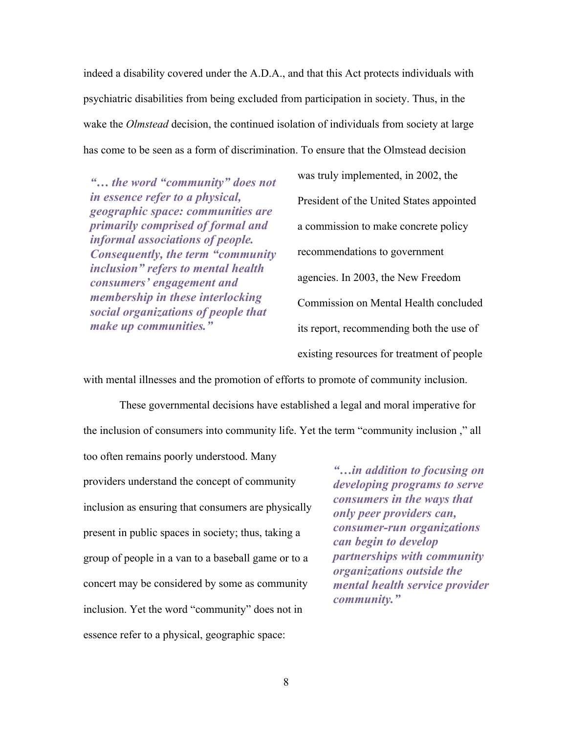indeed a disability covered under the A.D.A., and that this Act protects individuals with psychiatric disabilities from being excluded from participation in society. Thus, in the wake the *Olmstead* decision, the continued isolation of individuals from society at large has come to be seen as a form of discrimination. To ensure that the Olmstead decision

*"… the word "community" does not in essence refer to a physical, geographic space: communities are primarily comprised of formal and informal associations of people. Consequently, the term "community inclusion" refers to mental health consumers' engagement and membership in these interlocking social organizations of people that make up communities."*

was truly implemented, in 2002, the President of the United States appointed a commission to make concrete policy recommendations to government agencies. In 2003, the New Freedom Commission on Mental Health concluded its report, recommending both the use of existing resources for treatment of people

with mental illnesses and the promotion of efforts to promote of community inclusion.

These governmental decisions have established a legal and moral imperative for the inclusion of consumers into community life. Yet the term "community inclusion ," all

providers understand the concept of community inclusion as ensuring that consumers are physically present in public spaces in society; thus, taking a group of people in a van to a baseball game or to a concert may be considered by some as community inclusion. Yet the word "community" does not in essence refer to a physical, geographic space:

too often remains poorly understood. Many

*"…in addition to focusing on developing programs to serve consumers in the ways that only peer providers can, consumer-run organizations can begin to develop partnerships with community organizations outside the mental health service provider community."*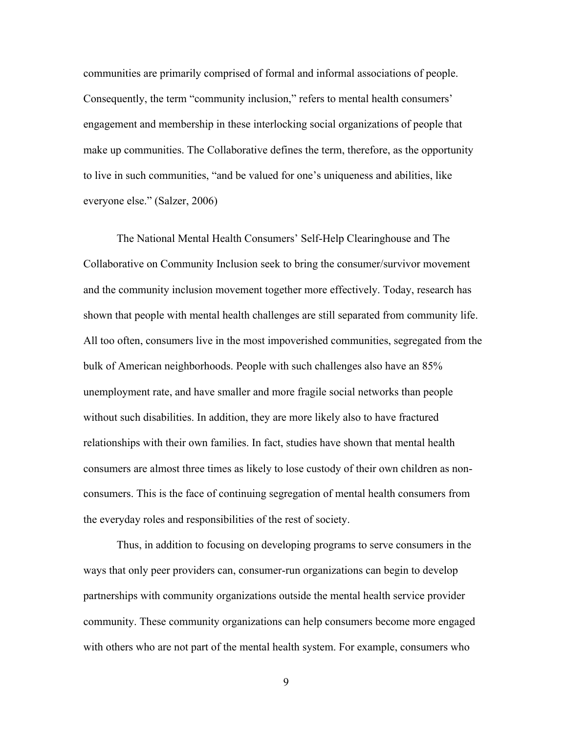communities are primarily comprised of formal and informal associations of people. Consequently, the term "community inclusion," refers to mental health consumers' engagement and membership in these interlocking social organizations of people that make up communities. The Collaborative defines the term, therefore, as the opportunity to live in such communities, "and be valued for one's uniqueness and abilities, like everyone else." (Salzer, 2006)

The National Mental Health Consumers' Self-Help Clearinghouse and The Collaborative on Community Inclusion seek to bring the consumer/survivor movement and the community inclusion movement together more effectively. Today, research has shown that people with mental health challenges are still separated from community life. All too often, consumers live in the most impoverished communities, segregated from the bulk of American neighborhoods. People with such challenges also have an 85% unemployment rate, and have smaller and more fragile social networks than people without such disabilities. In addition, they are more likely also to have fractured relationships with their own families. In fact, studies have shown that mental health consumers are almost three times as likely to lose custody of their own children as nonconsumers. This is the face of continuing segregation of mental health consumers from the everyday roles and responsibilities of the rest of society.

Thus, in addition to focusing on developing programs to serve consumers in the ways that only peer providers can, consumer-run organizations can begin to develop partnerships with community organizations outside the mental health service provider community. These community organizations can help consumers become more engaged with others who are not part of the mental health system. For example, consumers who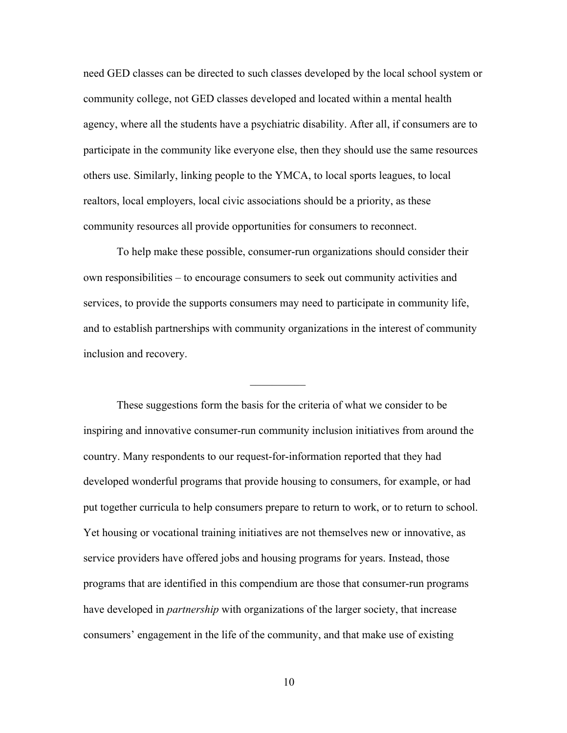need GED classes can be directed to such classes developed by the local school system or community college, not GED classes developed and located within a mental health agency, where all the students have a psychiatric disability. After all, if consumers are to participate in the community like everyone else, then they should use the same resources others use. Similarly, linking people to the YMCA, to local sports leagues, to local realtors, local employers, local civic associations should be a priority, as these community resources all provide opportunities for consumers to reconnect.

To help make these possible, consumer-run organizations should consider their own responsibilities – to encourage consumers to seek out community activities and services, to provide the supports consumers may need to participate in community life, and to establish partnerships with community organizations in the interest of community inclusion and recovery.

 $\frac{1}{2}$ 

These suggestions form the basis for the criteria of what we consider to be inspiring and innovative consumer-run community inclusion initiatives from around the country. Many respondents to our request-for-information reported that they had developed wonderful programs that provide housing to consumers, for example, or had put together curricula to help consumers prepare to return to work, or to return to school. Yet housing or vocational training initiatives are not themselves new or innovative, as service providers have offered jobs and housing programs for years. Instead, those programs that are identified in this compendium are those that consumer-run programs have developed in *partnership* with organizations of the larger society, that increase consumers' engagement in the life of the community, and that make use of existing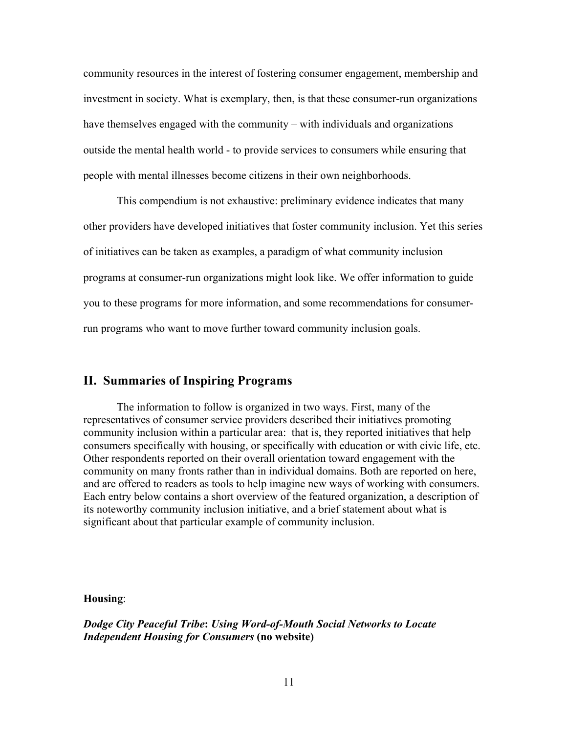community resources in the interest of fostering consumer engagement, membership and investment in society. What is exemplary, then, is that these consumer-run organizations have themselves engaged with the community – with individuals and organizations outside the mental health world - to provide services to consumers while ensuring that people with mental illnesses become citizens in their own neighborhoods.

This compendium is not exhaustive: preliminary evidence indicates that many other providers have developed initiatives that foster community inclusion. Yet this series of initiatives can be taken as examples, a paradigm of what community inclusion programs at consumer-run organizations might look like. We offer information to guide you to these programs for more information, and some recommendations for consumerrun programs who want to move further toward community inclusion goals.

# **II. Summaries of Inspiring Programs**

The information to follow is organized in two ways. First, many of the representatives of consumer service providers described their initiatives promoting community inclusion within a particular area: that is, they reported initiatives that help consumers specifically with housing, or specifically with education or with civic life, etc. Other respondents reported on their overall orientation toward engagement with the community on many fronts rather than in individual domains. Both are reported on here, and are offered to readers as tools to help imagine new ways of working with consumers. Each entry below contains a short overview of the featured organization, a description of its noteworthy community inclusion initiative, and a brief statement about what is significant about that particular example of community inclusion.

#### **Housing**:

*Dodge City Peaceful Tribe***:** *Using Word-of-Mouth Social Networks to Locate Independent Housing for Consumers* **(no website)**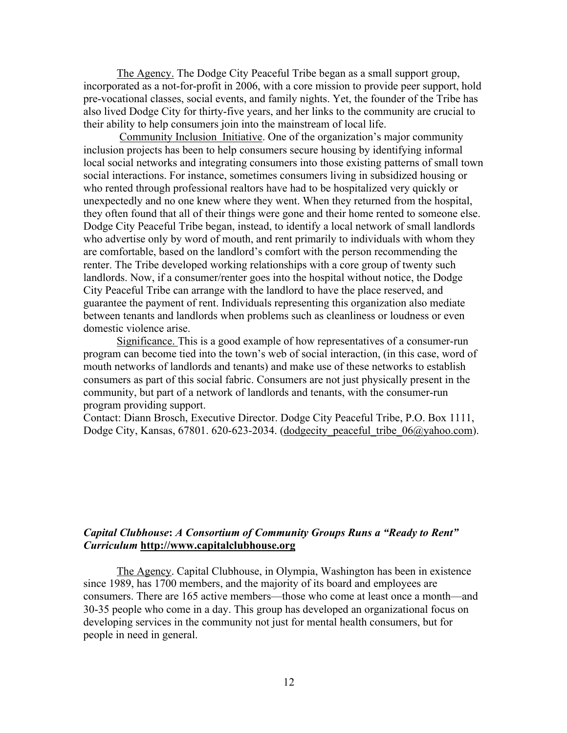The Agency. The Dodge City Peaceful Tribe began as a small support group, incorporated as a not-for-profit in 2006, with a core mission to provide peer support, hold pre-vocational classes, social events, and family nights. Yet, the founder of the Tribe has also lived Dodge City for thirty-five years, and her links to the community are crucial to their ability to help consumers join into the mainstream of local life.

Community Inclusion Initiative. One of the organization's major community inclusion projects has been to help consumers secure housing by identifying informal local social networks and integrating consumers into those existing patterns of small town social interactions. For instance, sometimes consumers living in subsidized housing or who rented through professional realtors have had to be hospitalized very quickly or unexpectedly and no one knew where they went. When they returned from the hospital, they often found that all of their things were gone and their home rented to someone else. Dodge City Peaceful Tribe began, instead, to identify a local network of small landlords who advertise only by word of mouth, and rent primarily to individuals with whom they are comfortable, based on the landlord's comfort with the person recommending the renter. The Tribe developed working relationships with a core group of twenty such landlords. Now, if a consumer/renter goes into the hospital without notice, the Dodge City Peaceful Tribe can arrange with the landlord to have the place reserved, and guarantee the payment of rent. Individuals representing this organization also mediate between tenants and landlords when problems such as cleanliness or loudness or even domestic violence arise.

Significance. This is a good example of how representatives of a consumer-run program can become tied into the town's web of social interaction, (in this case, word of mouth networks of landlords and tenants) and make use of these networks to establish consumers as part of this social fabric. Consumers are not just physically present in the community, but part of a network of landlords and tenants, with the consumer-run program providing support.

Contact: Diann Brosch, Executive Director. Dodge City Peaceful Tribe, P.O. Box 1111, Dodge City, Kansas, 67801. 620-623-2034. (dodgecity peaceful tribe 06@yahoo.com).

#### *Capital Clubhouse***:** *A Consortium of Community Groups Runs a "Ready to Rent" Curriculum* **http://www.capitalclubhouse.org**

The Agency. Capital Clubhouse, in Olympia, Washington has been in existence since 1989, has 1700 members, and the majority of its board and employees are consumers. There are 165 active members—those who come at least once a month—and 30-35 people who come in a day. This group has developed an organizational focus on developing services in the community not just for mental health consumers, but for people in need in general.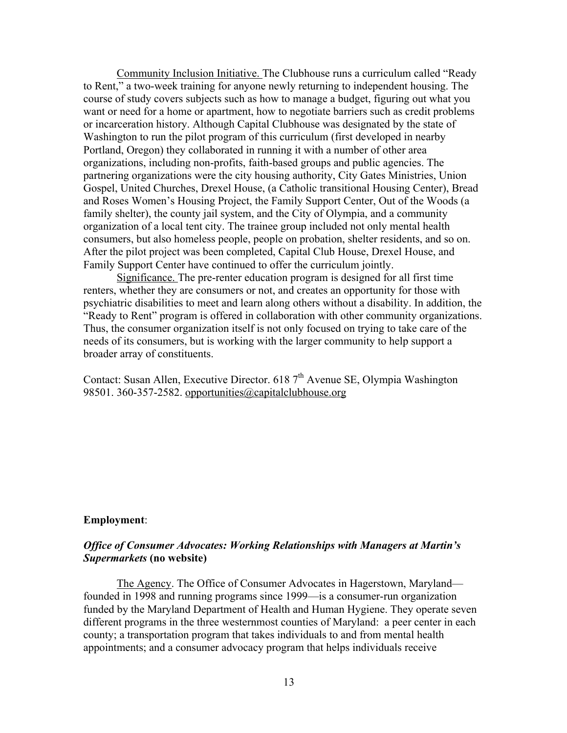Community Inclusion Initiative. The Clubhouse runs a curriculum called "Ready to Rent," a two-week training for anyone newly returning to independent housing. The course of study covers subjects such as how to manage a budget, figuring out what you want or need for a home or apartment, how to negotiate barriers such as credit problems or incarceration history. Although Capital Clubhouse was designated by the state of Washington to run the pilot program of this curriculum (first developed in nearby Portland, Oregon) they collaborated in running it with a number of other area organizations, including non-profits, faith-based groups and public agencies. The partnering organizations were the city housing authority, City Gates Ministries, Union Gospel, United Churches, Drexel House, (a Catholic transitional Housing Center), Bread and Roses Women's Housing Project, the Family Support Center, Out of the Woods (a family shelter), the county jail system, and the City of Olympia, and a community organization of a local tent city. The trainee group included not only mental health consumers, but also homeless people, people on probation, shelter residents, and so on. After the pilot project was been completed, Capital Club House, Drexel House, and Family Support Center have continued to offer the curriculum jointly.

Significance. The pre-renter education program is designed for all first time renters, whether they are consumers or not, and creates an opportunity for those with psychiatric disabilities to meet and learn along others without a disability. In addition, the "Ready to Rent" program is offered in collaboration with other community organizations. Thus, the consumer organization itself is not only focused on trying to take care of the needs of its consumers, but is working with the larger community to help support a broader array of constituents.

Contact: Susan Allen, Executive Director. 618  $7<sup>th</sup>$  Avenue SE, Olympia Washington 98501. 360-357-2582. opportunities@capitalclubhouse.org

#### **Employment**:

#### *Office of Consumer Advocates: Working Relationships with Managers at Martin's Supermarkets* **(no website)**

The Agency. The Office of Consumer Advocates in Hagerstown, Maryland founded in 1998 and running programs since 1999—is a consumer-run organization funded by the Maryland Department of Health and Human Hygiene. They operate seven different programs in the three westernmost counties of Maryland: a peer center in each county; a transportation program that takes individuals to and from mental health appointments; and a consumer advocacy program that helps individuals receive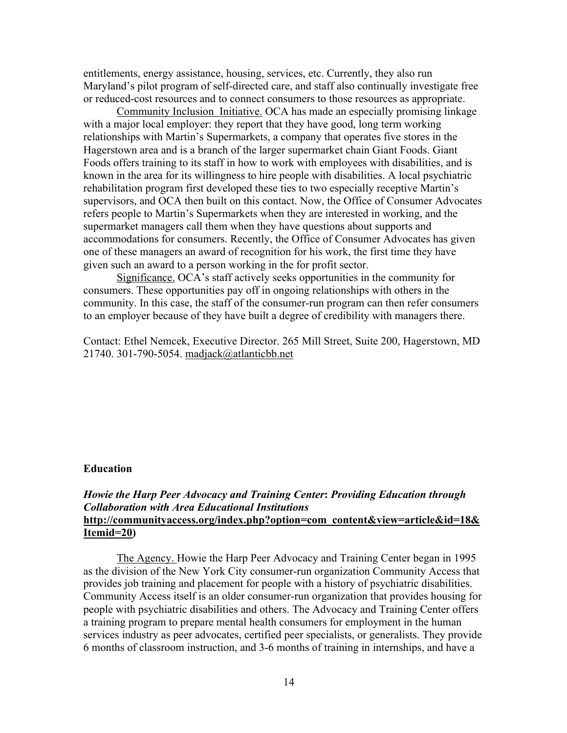entitlements, energy assistance, housing, services, etc. Currently, they also run Maryland's pilot program of self-directed care, and staff also continually investigate free or reduced-cost resources and to connect consumers to those resources as appropriate.

Community Inclusion Initiative. OCA has made an especially promising linkage with a major local employer: they report that they have good, long term working relationships with Martin's Supermarkets, a company that operates five stores in the Hagerstown area and is a branch of the larger supermarket chain Giant Foods. Giant Foods offers training to its staff in how to work with employees with disabilities, and is known in the area for its willingness to hire people with disabilities. A local psychiatric rehabilitation program first developed these ties to two especially receptive Martin's supervisors, and OCA then built on this contact. Now, the Office of Consumer Advocates refers people to Martin's Supermarkets when they are interested in working, and the supermarket managers call them when they have questions about supports and accommodations for consumers. Recently, the Office of Consumer Advocates has given one of these managers an award of recognition for his work, the first time they have given such an award to a person working in the for profit sector.

Significance. OCA's staff actively seeks opportunities in the community for consumers. These opportunities pay off in ongoing relationships with others in the community. In this case, the staff of the consumer-run program can then refer consumers to an employer because of they have built a degree of credibility with managers there.

Contact: Ethel Nemcek, Executive Director. 265 Mill Street, Suite 200, Hagerstown, MD 21740. 301-790-5054. madjack@atlanticbb.net

#### **Education**

# *Howie the Harp Peer Advocacy and Training Center***:** *Providing Education through Collaboration with Area Educational Institutions*  **http://communityaccess.org/index.php?option=com\_content&view=article&id=18& Itemid=20)**

The Agency. Howie the Harp Peer Advocacy and Training Center began in 1995 as the division of the New York City consumer-run organization Community Access that provides job training and placement for people with a history of psychiatric disabilities. Community Access itself is an older consumer-run organization that provides housing for people with psychiatric disabilities and others. The Advocacy and Training Center offers a training program to prepare mental health consumers for employment in the human services industry as peer advocates, certified peer specialists, or generalists. They provide 6 months of classroom instruction, and 3-6 months of training in internships, and have a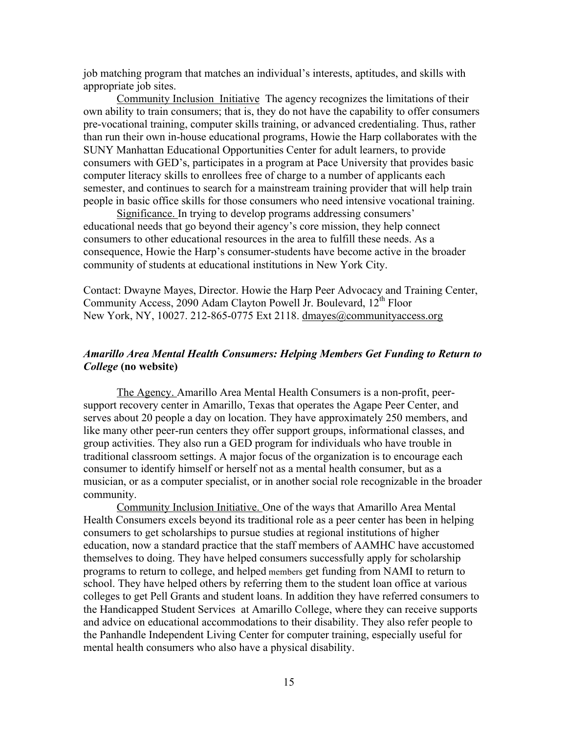job matching program that matches an individual's interests, aptitudes, and skills with appropriate job sites.

Community Inclusion Initiative The agency recognizes the limitations of their own ability to train consumers; that is, they do not have the capability to offer consumers pre-vocational training, computer skills training, or advanced credentialing. Thus, rather than run their own in-house educational programs, Howie the Harp collaborates with the SUNY Manhattan Educational Opportunities Center for adult learners, to provide consumers with GED's, participates in a program at Pace University that provides basic computer literacy skills to enrollees free of charge to a number of applicants each semester, and continues to search for a mainstream training provider that will help train people in basic office skills for those consumers who need intensive vocational training.

Significance. In trying to develop programs addressing consumers' educational needs that go beyond their agency's core mission, they help connect consumers to other educational resources in the area to fulfill these needs. As a consequence, Howie the Harp's consumer-students have become active in the broader community of students at educational institutions in New York City.

Contact: Dwayne Mayes, Director. Howie the Harp Peer Advocacy and Training Center, Community Access, 2090 Adam Clayton Powell Jr. Boulevard,  $12<sup>th</sup>$  Floor New York, NY, 10027. 212-865-0775 Ext 2118. dmayes@communityaccess.org

# *Amarillo Area Mental Health Consumers: Helping Members Get Funding to Return to College* **(no website)**

The Agency. Amarillo Area Mental Health Consumers is a non-profit, peersupport recovery center in Amarillo, Texas that operates the Agape Peer Center, and serves about 20 people a day on location. They have approximately 250 members, and like many other peer-run centers they offer support groups, informational classes, and group activities. They also run a GED program for individuals who have trouble in traditional classroom settings. A major focus of the organization is to encourage each consumer to identify himself or herself not as a mental health consumer, but as a musician, or as a computer specialist, or in another social role recognizable in the broader community.

Community Inclusion Initiative. One of the ways that Amarillo Area Mental Health Consumers excels beyond its traditional role as a peer center has been in helping consumers to get scholarships to pursue studies at regional institutions of higher education, now a standard practice that the staff members of AAMHC have accustomed themselves to doing. They have helped consumers successfully apply for scholarship programs to return to college, and helped members get funding from NAMI to return to school. They have helped others by referring them to the student loan office at various colleges to get Pell Grants and student loans. In addition they have referred consumers to the Handicapped Student Services at Amarillo College, where they can receive supports and advice on educational accommodations to their disability. They also refer people to the Panhandle Independent Living Center for computer training, especially useful for mental health consumers who also have a physical disability.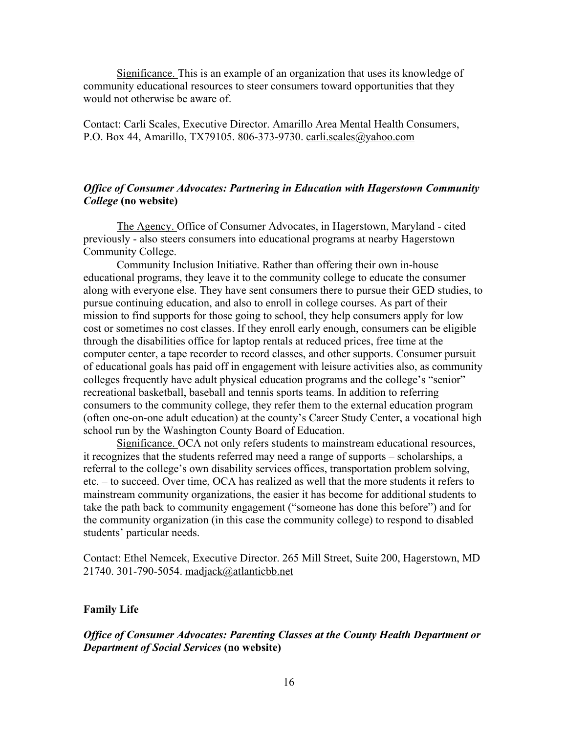Significance. This is an example of an organization that uses its knowledge of community educational resources to steer consumers toward opportunities that they would not otherwise be aware of.

Contact: Carli Scales, Executive Director. Amarillo Area Mental Health Consumers, P.O. Box 44, Amarillo, TX79105. 806-373-9730. carli.scales@yahoo.com

## *Office of Consumer Advocates: Partnering in Education with Hagerstown Community College* **(no website)**

The Agency. Office of Consumer Advocates, in Hagerstown, Maryland - cited previously - also steers consumers into educational programs at nearby Hagerstown Community College.

Community Inclusion Initiative. Rather than offering their own in-house educational programs, they leave it to the community college to educate the consumer along with everyone else. They have sent consumers there to pursue their GED studies, to pursue continuing education, and also to enroll in college courses. As part of their mission to find supports for those going to school, they help consumers apply for low cost or sometimes no cost classes. If they enroll early enough, consumers can be eligible through the disabilities office for laptop rentals at reduced prices, free time at the computer center, a tape recorder to record classes, and other supports. Consumer pursuit of educational goals has paid off in engagement with leisure activities also, as community colleges frequently have adult physical education programs and the college's "senior" recreational basketball, baseball and tennis sports teams. In addition to referring consumers to the community college, they refer them to the external education program (often one-on-one adult education) at the county's Career Study Center, a vocational high school run by the Washington County Board of Education.

Significance. OCA not only refers students to mainstream educational resources, it recognizes that the students referred may need a range of supports – scholarships, a referral to the college's own disability services offices, transportation problem solving, etc. – to succeed. Over time, OCA has realized as well that the more students it refers to mainstream community organizations, the easier it has become for additional students to take the path back to community engagement ("someone has done this before") and for the community organization (in this case the community college) to respond to disabled students' particular needs.

Contact: Ethel Nemcek, Executive Director. 265 Mill Street, Suite 200, Hagerstown, MD 21740. 301-790-5054. madjack@atlanticbb.net

#### **Family Life**

*Office of Consumer Advocates: Parenting Classes at the County Health Department or Department of Social Services* **(no website)**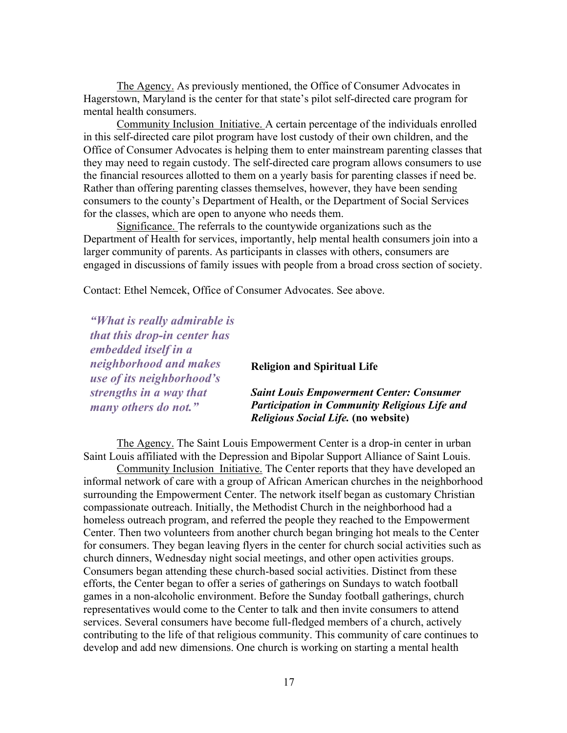The Agency. As previously mentioned, the Office of Consumer Advocates in Hagerstown, Maryland is the center for that state's pilot self-directed care program for mental health consumers.

 Community Inclusion Initiative. A certain percentage of the individuals enrolled in this self-directed care pilot program have lost custody of their own children, and the Office of Consumer Advocates is helping them to enter mainstream parenting classes that they may need to regain custody. The self-directed care program allows consumers to use the financial resources allotted to them on a yearly basis for parenting classes if need be. Rather than offering parenting classes themselves, however, they have been sending consumers to the county's Department of Health, or the Department of Social Services for the classes, which are open to anyone who needs them.

 Significance. The referrals to the countywide organizations such as the Department of Health for services, importantly, help mental health consumers join into a larger community of parents. As participants in classes with others, consumers are engaged in discussions of family issues with people from a broad cross section of society.

Contact: Ethel Nemcek, Office of Consumer Advocates. See above.

| "What is really admirable is" |                                                      |
|-------------------------------|------------------------------------------------------|
| that this drop-in center has  |                                                      |
| embedded itself in a          |                                                      |
| neighborhood and makes        | <b>Religion and Spiritual Life</b>                   |
| use of its neighborhood's     |                                                      |
| strengths in a way that       | <b>Saint Louis Empowerment Center: Consumer</b>      |
| many others do not."          | <b>Participation in Community Religious Life and</b> |
|                               | <b>Religious Social Life. (no website)</b>           |

The Agency. The Saint Louis Empowerment Center is a drop-in center in urban Saint Louis affiliated with the Depression and Bipolar Support Alliance of Saint Louis.

Community Inclusion Initiative. The Center reports that they have developed an informal network of care with a group of African American churches in the neighborhood surrounding the Empowerment Center. The network itself began as customary Christian compassionate outreach. Initially, the Methodist Church in the neighborhood had a homeless outreach program, and referred the people they reached to the Empowerment Center. Then two volunteers from another church began bringing hot meals to the Center for consumers. They began leaving flyers in the center for church social activities such as church dinners, Wednesday night social meetings, and other open activities groups. Consumers began attending these church-based social activities. Distinct from these efforts, the Center began to offer a series of gatherings on Sundays to watch football games in a non-alcoholic environment. Before the Sunday football gatherings, church representatives would come to the Center to talk and then invite consumers to attend services. Several consumers have become full-fledged members of a church, actively contributing to the life of that religious community. This community of care continues to develop and add new dimensions. One church is working on starting a mental health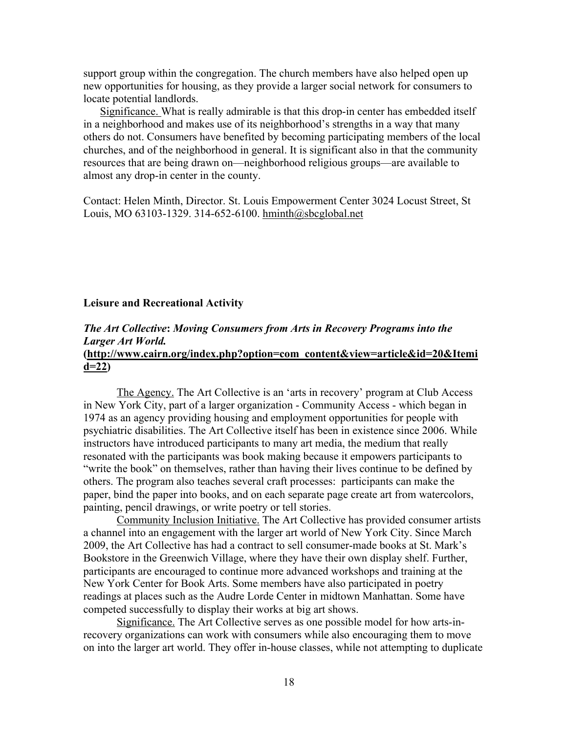support group within the congregation. The church members have also helped open up new opportunities for housing, as they provide a larger social network for consumers to locate potential landlords.

Significance. What is really admirable is that this drop-in center has embedded itself in a neighborhood and makes use of its neighborhood's strengths in a way that many others do not. Consumers have benefited by becoming participating members of the local churches, and of the neighborhood in general. It is significant also in that the community resources that are being drawn on—neighborhood religious groups—are available to almost any drop-in center in the county.

Contact: Helen Minth, Director. St. Louis Empowerment Center 3024 Locust Street, St Louis, MO 63103-1329. 314-652-6100. hminth@sbcglobal.net

#### **Leisure and Recreational Activity**

#### *The Art Collective***:** *Moving Consumers from Arts in Recovery Programs into the Larger Art World.*  **(http://www.cairn.org/index.php?option=com\_content&view=article&id=20&Itemi d=22)**

The Agency. The Art Collective is an 'arts in recovery' program at Club Access in New York City, part of a larger organization - Community Access - which began in 1974 as an agency providing housing and employment opportunities for people with psychiatric disabilities. The Art Collective itself has been in existence since 2006. While instructors have introduced participants to many art media, the medium that really resonated with the participants was book making because it empowers participants to "write the book" on themselves, rather than having their lives continue to be defined by others. The program also teaches several craft processes: participants can make the paper, bind the paper into books, and on each separate page create art from watercolors, painting, pencil drawings, or write poetry or tell stories.

Community Inclusion Initiative. The Art Collective has provided consumer artists a channel into an engagement with the larger art world of New York City. Since March 2009, the Art Collective has had a contract to sell consumer-made books at St. Mark's Bookstore in the Greenwich Village, where they have their own display shelf. Further, participants are encouraged to continue more advanced workshops and training at the New York Center for Book Arts. Some members have also participated in poetry readings at places such as the Audre Lorde Center in midtown Manhattan. Some have competed successfully to display their works at big art shows.

Significance. The Art Collective serves as one possible model for how arts-inrecovery organizations can work with consumers while also encouraging them to move on into the larger art world. They offer in-house classes, while not attempting to duplicate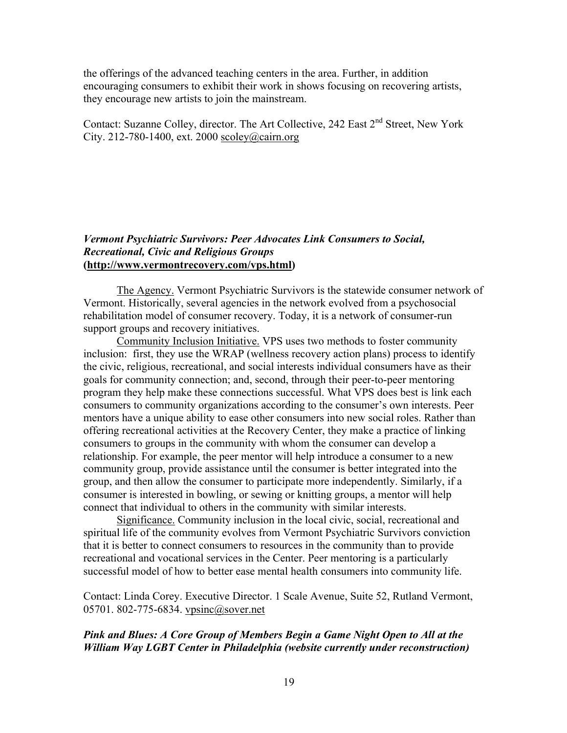the offerings of the advanced teaching centers in the area. Further, in addition encouraging consumers to exhibit their work in shows focusing on recovering artists, they encourage new artists to join the mainstream.

Contact: Suzanne Colley, director. The Art Collective, 242 East 2<sup>nd</sup> Street, New York City. 212-780-1400, ext. 2000 scoley@cairn.org

#### *Vermont Psychiatric Survivors: Peer Advocates Link Consumers to Social, Recreational, Civic and Religious Groups* **(http://www.vermontrecovery.com/vps.html)**

The Agency. Vermont Psychiatric Survivors is the statewide consumer network of Vermont. Historically, several agencies in the network evolved from a psychosocial rehabilitation model of consumer recovery. Today, it is a network of consumer-run support groups and recovery initiatives.

Community Inclusion Initiative. VPS uses two methods to foster community inclusion: first, they use the WRAP (wellness recovery action plans) process to identify the civic, religious, recreational, and social interests individual consumers have as their goals for community connection; and, second, through their peer-to-peer mentoring program they help make these connections successful. What VPS does best is link each consumers to community organizations according to the consumer's own interests. Peer mentors have a unique ability to ease other consumers into new social roles. Rather than offering recreational activities at the Recovery Center, they make a practice of linking consumers to groups in the community with whom the consumer can develop a relationship. For example, the peer mentor will help introduce a consumer to a new community group, provide assistance until the consumer is better integrated into the group, and then allow the consumer to participate more independently. Similarly, if a consumer is interested in bowling, or sewing or knitting groups, a mentor will help connect that individual to others in the community with similar interests.

Significance. Community inclusion in the local civic, social, recreational and spiritual life of the community evolves from Vermont Psychiatric Survivors conviction that it is better to connect consumers to resources in the community than to provide recreational and vocational services in the Center. Peer mentoring is a particularly successful model of how to better ease mental health consumers into community life.

Contact: Linda Corey. Executive Director. 1 Scale Avenue, Suite 52, Rutland Vermont, 05701. 802-775-6834. vpsinc@sover.net

#### *Pink and Blues: A Core Group of Members Begin a Game Night Open to All at the William Way LGBT Center in Philadelphia (website currently under reconstruction)*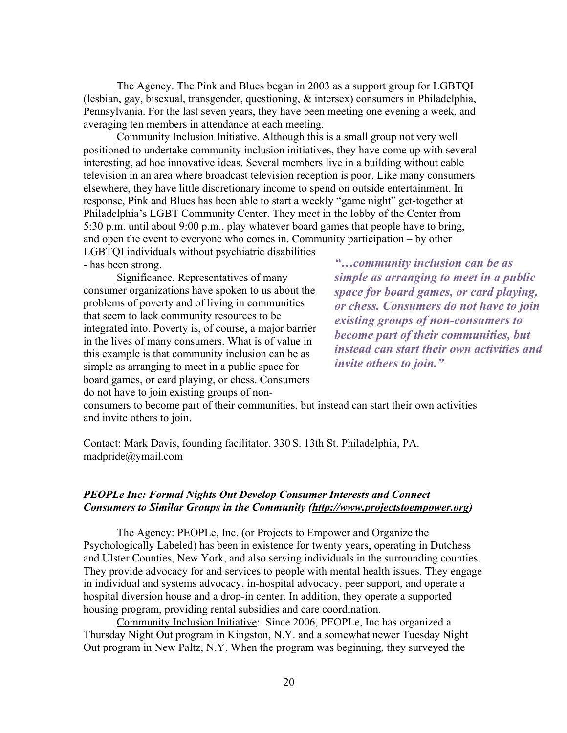The Agency. The Pink and Blues began in 2003 as a support group for LGBTQI (lesbian, gay, bisexual, transgender, questioning, & intersex) consumers in Philadelphia, Pennsylvania. For the last seven years, they have been meeting one evening a week, and averaging ten members in attendance at each meeting.

Community Inclusion Initiative. Although this is a small group not very well positioned to undertake community inclusion initiatives, they have come up with several interesting, ad hoc innovative ideas. Several members live in a building without cable television in an area where broadcast television reception is poor. Like many consumers elsewhere, they have little discretionary income to spend on outside entertainment. In response, Pink and Blues has been able to start a weekly "game night" get-together at Philadelphia's LGBT Community Center. They meet in the lobby of the Center from 5:30 p.m. until about 9:00 p.m., play whatever board games that people have to bring, and open the event to everyone who comes in. Community participation – by other

LGBTQI individuals without psychiatric disabilities - has been strong.

Significance. Representatives of many consumer organizations have spoken to us about the problems of poverty and of living in communities that seem to lack community resources to be integrated into. Poverty is, of course, a major barrier in the lives of many consumers. What is of value in this example is that community inclusion can be as simple as arranging to meet in a public space for board games, or card playing, or chess. Consumers do not have to join existing groups of non-

*"…community inclusion can be as simple as arranging to meet in a public space for board games, or card playing, or chess. Consumers do not have to join existing groups of non-consumers to become part of their communities, but instead can start their own activities and invite others to join."*

consumers to become part of their communities, but instead can start their own activities and invite others to join.

Contact: Mark Davis, founding facilitator. 330 S. 13th St. Philadelphia, PA. madpride@ymail.com

#### *PEOPLe Inc: Formal Nights Out Develop Consumer Interests and Connect Consumers to Similar Groups in the Community (http://www.projectstoempower.org)*

The Agency: PEOPLe, Inc. (or Projects to Empower and Organize the Psychologically Labeled) has been in existence for twenty years, operating in Dutchess and Ulster Counties, New York, and also serving individuals in the surrounding counties. They provide advocacy for and services to people with mental health issues. They engage in individual and systems advocacy, in-hospital advocacy, peer support, and operate a hospital diversion house and a drop-in center. In addition, they operate a supported housing program, providing rental subsidies and care coordination.

Community Inclusion Initiative: Since 2006, PEOPLe, Inc has organized a Thursday Night Out program in Kingston, N.Y. and a somewhat newer Tuesday Night Out program in New Paltz, N.Y. When the program was beginning, they surveyed the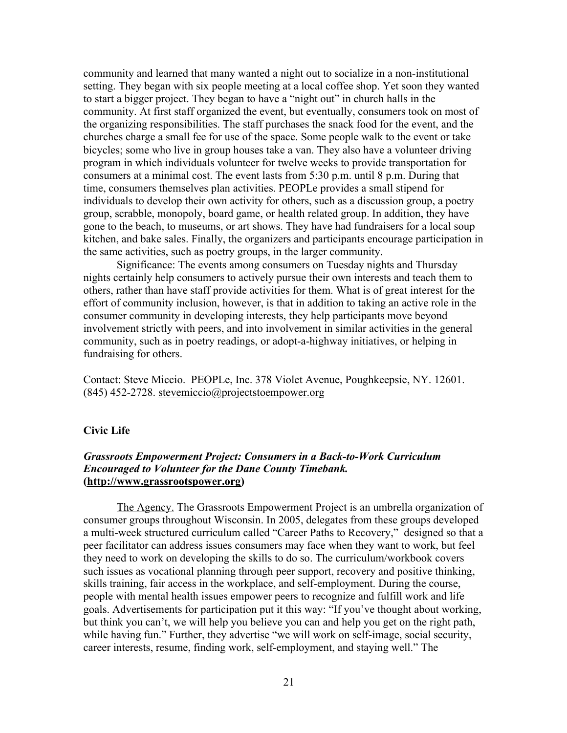community and learned that many wanted a night out to socialize in a non-institutional setting. They began with six people meeting at a local coffee shop. Yet soon they wanted to start a bigger project. They began to have a "night out" in church halls in the community. At first staff organized the event, but eventually, consumers took on most of the organizing responsibilities. The staff purchases the snack food for the event, and the churches charge a small fee for use of the space. Some people walk to the event or take bicycles; some who live in group houses take a van. They also have a volunteer driving program in which individuals volunteer for twelve weeks to provide transportation for consumers at a minimal cost. The event lasts from 5:30 p.m. until 8 p.m. During that time, consumers themselves plan activities. PEOPLe provides a small stipend for individuals to develop their own activity for others, such as a discussion group, a poetry group, scrabble, monopoly, board game, or health related group. In addition, they have gone to the beach, to museums, or art shows. They have had fundraisers for a local soup kitchen, and bake sales. Finally, the organizers and participants encourage participation in the same activities, such as poetry groups, in the larger community.

Significance: The events among consumers on Tuesday nights and Thursday nights certainly help consumers to actively pursue their own interests and teach them to others, rather than have staff provide activities for them. What is of great interest for the effort of community inclusion, however, is that in addition to taking an active role in the consumer community in developing interests, they help participants move beyond involvement strictly with peers, and into involvement in similar activities in the general community, such as in poetry readings, or adopt-a-highway initiatives, or helping in fundraising for others.

Contact: Steve Miccio. PEOPLe, Inc. 378 Violet Avenue, Poughkeepsie, NY. 12601. (845) 452-2728. stevemiccio@projectstoempower.org

#### **Civic Life**

#### *Grassroots Empowerment Project: Consumers in a Back-to-Work Curriculum Encouraged to Volunteer for the Dane County Timebank.*  **(http://www.grassrootspower.org)**

The Agency. The Grassroots Empowerment Project is an umbrella organization of consumer groups throughout Wisconsin. In 2005, delegates from these groups developed a multi-week structured curriculum called "Career Paths to Recovery," designed so that a peer facilitator can address issues consumers may face when they want to work, but feel they need to work on developing the skills to do so. The curriculum/workbook covers such issues as vocational planning through peer support, recovery and positive thinking, skills training, fair access in the workplace, and self-employment. During the course, people with mental health issues empower peers to recognize and fulfill work and life goals. Advertisements for participation put it this way: "If you've thought about working, but think you can't, we will help you believe you can and help you get on the right path, while having fun." Further, they advertise "we will work on self-image, social security, career interests, resume, finding work, self-employment, and staying well." The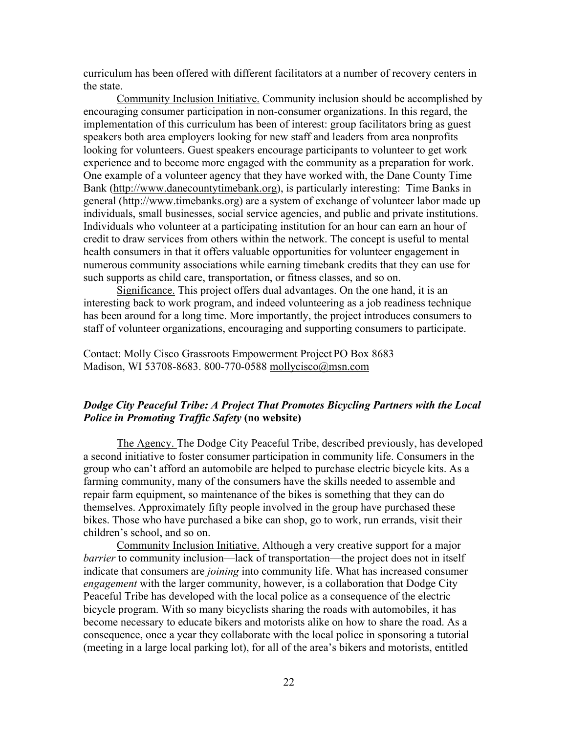curriculum has been offered with different facilitators at a number of recovery centers in the state.

Community Inclusion Initiative. Community inclusion should be accomplished by encouraging consumer participation in non-consumer organizations. In this regard, the implementation of this curriculum has been of interest: group facilitators bring as guest speakers both area employers looking for new staff and leaders from area nonprofits looking for volunteers. Guest speakers encourage participants to volunteer to get work experience and to become more engaged with the community as a preparation for work. One example of a volunteer agency that they have worked with, the Dane County Time Bank (http://www.danecountytimebank.org), is particularly interesting: Time Banks in general (http://www.timebanks.org) are a system of exchange of volunteer labor made up individuals, small businesses, social service agencies, and public and private institutions. Individuals who volunteer at a participating institution for an hour can earn an hour of credit to draw services from others within the network. The concept is useful to mental health consumers in that it offers valuable opportunities for volunteer engagement in numerous community associations while earning timebank credits that they can use for such supports as child care, transportation, or fitness classes, and so on.

Significance. This project offers dual advantages. On the one hand, it is an interesting back to work program, and indeed volunteering as a job readiness technique has been around for a long time. More importantly, the project introduces consumers to staff of volunteer organizations, encouraging and supporting consumers to participate.

Contact: Molly Cisco Grassroots Empowerment Project PO Box 8683 Madison, WI 53708-8683. 800-770-0588 mollycisco@msn.com

#### *Dodge City Peaceful Tribe: A Project That Promotes Bicycling Partners with the Local Police in Promoting Traffic Safety* **(no website)**

The Agency. The Dodge City Peaceful Tribe, described previously, has developed a second initiative to foster consumer participation in community life. Consumers in the group who can't afford an automobile are helped to purchase electric bicycle kits. As a farming community, many of the consumers have the skills needed to assemble and repair farm equipment, so maintenance of the bikes is something that they can do themselves. Approximately fifty people involved in the group have purchased these bikes. Those who have purchased a bike can shop, go to work, run errands, visit their children's school, and so on.

Community Inclusion Initiative. Although a very creative support for a major *barrier* to community inclusion—lack of transportation—the project does not in itself indicate that consumers are *joining* into community life. What has increased consumer *engagement* with the larger community, however, is a collaboration that Dodge City Peaceful Tribe has developed with the local police as a consequence of the electric bicycle program. With so many bicyclists sharing the roads with automobiles, it has become necessary to educate bikers and motorists alike on how to share the road. As a consequence, once a year they collaborate with the local police in sponsoring a tutorial (meeting in a large local parking lot), for all of the area's bikers and motorists, entitled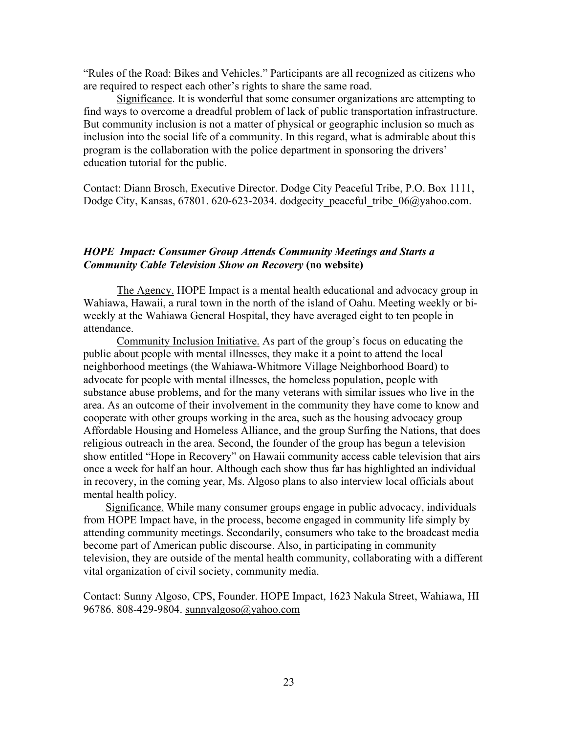"Rules of the Road: Bikes and Vehicles." Participants are all recognized as citizens who are required to respect each other's rights to share the same road.

Significance. It is wonderful that some consumer organizations are attempting to find ways to overcome a dreadful problem of lack of public transportation infrastructure. But community inclusion is not a matter of physical or geographic inclusion so much as inclusion into the social life of a community. In this regard, what is admirable about this program is the collaboration with the police department in sponsoring the drivers' education tutorial for the public.

Contact: Diann Brosch, Executive Director. Dodge City Peaceful Tribe, P.O. Box 1111, Dodge City, Kansas, 67801. 620-623-2034. dodgecity peaceful tribe 06@yahoo.com.

#### *HOPE Impact: Consumer Group Attends Community Meetings and Starts a Community Cable Television Show on Recovery* **(no website)**

The Agency. HOPE Impact is a mental health educational and advocacy group in Wahiawa, Hawaii, a rural town in the north of the island of Oahu. Meeting weekly or biweekly at the Wahiawa General Hospital, they have averaged eight to ten people in attendance.

Community Inclusion Initiative. As part of the group's focus on educating the public about people with mental illnesses, they make it a point to attend the local neighborhood meetings (the Wahiawa-Whitmore Village Neighborhood Board) to advocate for people with mental illnesses, the homeless population, people with substance abuse problems, and for the many veterans with similar issues who live in the area. As an outcome of their involvement in the community they have come to know and cooperate with other groups working in the area, such as the housing advocacy group Affordable Housing and Homeless Alliance, and the group Surfing the Nations, that does religious outreach in the area. Second, the founder of the group has begun a television show entitled "Hope in Recovery" on Hawaii community access cable television that airs once a week for half an hour. Although each show thus far has highlighted an individual in recovery, in the coming year, Ms. Algoso plans to also interview local officials about mental health policy.

 Significance. While many consumer groups engage in public advocacy, individuals from HOPE Impact have, in the process, become engaged in community life simply by attending community meetings. Secondarily, consumers who take to the broadcast media become part of American public discourse. Also, in participating in community television, they are outside of the mental health community, collaborating with a different vital organization of civil society, community media.

Contact: Sunny Algoso, CPS, Founder. HOPE Impact, 1623 Nakula Street, Wahiawa, HI 96786. 808-429-9804. sunnyalgoso@yahoo.com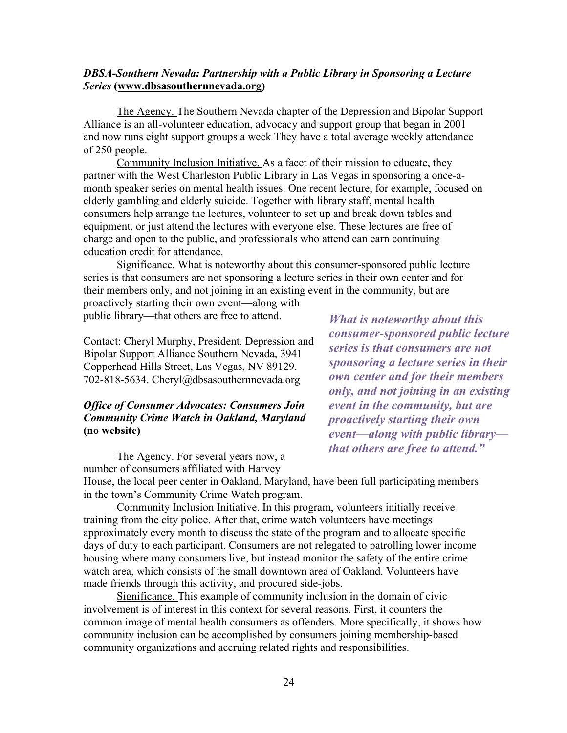#### *DBSA-Southern Nevada: Partnership with a Public Library in Sponsoring a Lecture Series* **(www.dbsasouthernnevada.org)**

The Agency. The Southern Nevada chapter of the Depression and Bipolar Support Alliance is an all-volunteer education, advocacy and support group that began in 2001 and now runs eight support groups a week They have a total average weekly attendance of 250 people.

Community Inclusion Initiative. As a facet of their mission to educate, they partner with the West Charleston Public Library in Las Vegas in sponsoring a once-amonth speaker series on mental health issues. One recent lecture, for example, focused on elderly gambling and elderly suicide. Together with library staff, mental health consumers help arrange the lectures, volunteer to set up and break down tables and equipment, or just attend the lectures with everyone else. These lectures are free of charge and open to the public, and professionals who attend can earn continuing education credit for attendance.

Significance. What is noteworthy about this consumer-sponsored public lecture series is that consumers are not sponsoring a lecture series in their own center and for their members only, and not joining in an existing event in the community, but are proactively starting their own event—along with

public library—that others are free to attend.

Contact: Cheryl Murphy, President. Depression and Bipolar Support Alliance Southern Nevada, 3941 Copperhead Hills Street, Las Vegas, NV 89129. 702-818-5634. Cheryl@dbsasouthernnevada.org

## *Office of Consumer Advocates: Consumers Join Community Crime Watch in Oakland, Maryland* **(no website)**

The Agency. For several years now, a number of consumers affiliated with Harvey

*What is noteworthy about this consumer-sponsored public lecture series is that consumers are not sponsoring a lecture series in their own center and for their members only, and not joining in an existing event in the community, but are proactively starting their own event—along with public library that others are free to attend."*

House, the local peer center in Oakland, Maryland, have been full participating members in the town's Community Crime Watch program.

Community Inclusion Initiative. In this program, volunteers initially receive training from the city police. After that, crime watch volunteers have meetings approximately every month to discuss the state of the program and to allocate specific days of duty to each participant. Consumers are not relegated to patrolling lower income housing where many consumers live, but instead monitor the safety of the entire crime watch area, which consists of the small downtown area of Oakland. Volunteers have made friends through this activity, and procured side-jobs.

Significance. This example of community inclusion in the domain of civic involvement is of interest in this context for several reasons. First, it counters the common image of mental health consumers as offenders. More specifically, it shows how community inclusion can be accomplished by consumers joining membership-based community organizations and accruing related rights and responsibilities.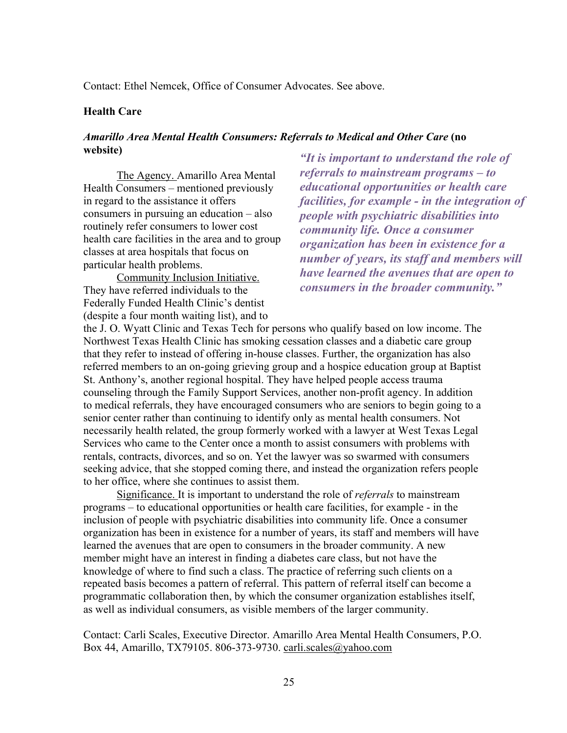Contact: Ethel Nemcek, Office of Consumer Advocates. See above.

#### **Health Care**

#### *Amarillo Area Mental Health Consumers: Referrals to Medical and Other Care* **(no website)**

The Agency. Amarillo Area Mental Health Consumers – mentioned previously in regard to the assistance it offers consumers in pursuing an education – also routinely refer consumers to lower cost health care facilities in the area and to group classes at area hospitals that focus on particular health problems.

Community Inclusion Initiative. They have referred individuals to the Federally Funded Health Clinic's dentist (despite a four month waiting list), and to

*"It is important to understand the role of referrals to mainstream programs – to educational opportunities or health care facilities, for example - in the integration of people with psychiatric disabilities into community life. Once a consumer organization has been in existence for a number of years, its staff and members will have learned the avenues that are open to consumers in the broader community."*

the J. O. Wyatt Clinic and Texas Tech for persons who qualify based on low income. The Northwest Texas Health Clinic has smoking cessation classes and a diabetic care group that they refer to instead of offering in-house classes. Further, the organization has also referred members to an on-going grieving group and a hospice education group at Baptist St. Anthony's, another regional hospital. They have helped people access trauma counseling through the Family Support Services, another non-profit agency. In addition to medical referrals, they have encouraged consumers who are seniors to begin going to a senior center rather than continuing to identify only as mental health consumers. Not necessarily health related, the group formerly worked with a lawyer at West Texas Legal Services who came to the Center once a month to assist consumers with problems with rentals, contracts, divorces, and so on. Yet the lawyer was so swarmed with consumers seeking advice, that she stopped coming there, and instead the organization refers people to her office, where she continues to assist them.

Significance. It is important to understand the role of *referrals* to mainstream programs – to educational opportunities or health care facilities, for example - in the inclusion of people with psychiatric disabilities into community life. Once a consumer organization has been in existence for a number of years, its staff and members will have learned the avenues that are open to consumers in the broader community. A new member might have an interest in finding a diabetes care class, but not have the knowledge of where to find such a class. The practice of referring such clients on a repeated basis becomes a pattern of referral. This pattern of referral itself can become a programmatic collaboration then, by which the consumer organization establishes itself, as well as individual consumers, as visible members of the larger community.

Contact: Carli Scales, Executive Director. Amarillo Area Mental Health Consumers, P.O. Box 44, Amarillo, TX79105. 806-373-9730. carli.scales@yahoo.com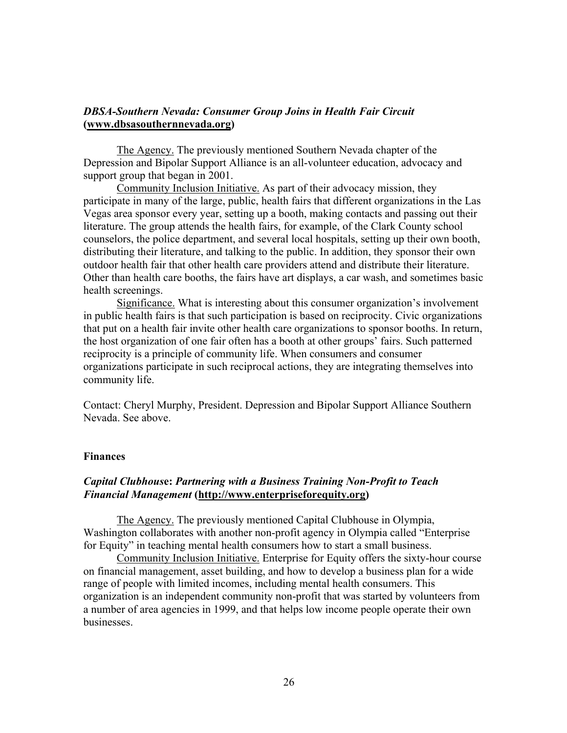## *DBSA-Southern Nevada: Consumer Group Joins in Health Fair Circuit* **(www.dbsasouthernnevada.org)**

The Agency. The previously mentioned Southern Nevada chapter of the Depression and Bipolar Support Alliance is an all-volunteer education, advocacy and support group that began in 2001.

Community Inclusion Initiative. As part of their advocacy mission, they participate in many of the large, public, health fairs that different organizations in the Las Vegas area sponsor every year, setting up a booth, making contacts and passing out their literature. The group attends the health fairs, for example, of the Clark County school counselors, the police department, and several local hospitals, setting up their own booth, distributing their literature, and talking to the public. In addition, they sponsor their own outdoor health fair that other health care providers attend and distribute their literature. Other than health care booths, the fairs have art displays, a car wash, and sometimes basic health screenings.

Significance. What is interesting about this consumer organization's involvement in public health fairs is that such participation is based on reciprocity. Civic organizations that put on a health fair invite other health care organizations to sponsor booths. In return, the host organization of one fair often has a booth at other groups' fairs. Such patterned reciprocity is a principle of community life. When consumers and consumer organizations participate in such reciprocal actions, they are integrating themselves into community life.

Contact: Cheryl Murphy, President. Depression and Bipolar Support Alliance Southern Nevada. See above.

#### **Finances**

# *Capital Clubhous***e:** *Partnering with a Business Training Non-Profit to Teach Financial Management* **(http://www.enterpriseforequity.org)**

The Agency. The previously mentioned Capital Clubhouse in Olympia, Washington collaborates with another non-profit agency in Olympia called "Enterprise for Equity" in teaching mental health consumers how to start a small business.

Community Inclusion Initiative. Enterprise for Equity offers the sixty-hour course on financial management, asset building, and how to develop a business plan for a wide range of people with limited incomes, including mental health consumers. This organization is an independent community non-profit that was started by volunteers from a number of area agencies in 1999, and that helps low income people operate their own businesses.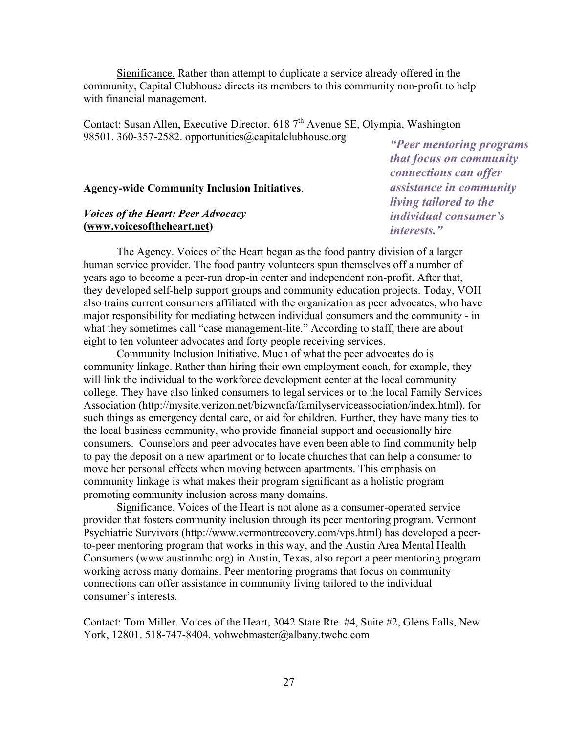Significance. Rather than attempt to duplicate a service already offered in the community, Capital Clubhouse directs its members to this community non-profit to help with financial management.

Contact: Susan Allen, Executive Director.  $6187<sup>th</sup>$  Avenue SE, Olympia, Washington 98501. 360-357-2582. opportunities@capitalclubhouse.org

#### **Agency-wide Community Inclusion Initiatives**.

#### *Voices of the Heart: Peer Advocacy* **(www.voicesoftheheart.net)**

*"Peer mentoring programs that focus on community connections can offer assistance in community living tailored to the individual consumer's interests."*

The Agency. Voices of the Heart began as the food pantry division of a larger human service provider. The food pantry volunteers spun themselves off a number of years ago to become a peer-run drop-in center and independent non-profit. After that, they developed self-help support groups and community education projects. Today, VOH also trains current consumers affiliated with the organization as peer advocates, who have major responsibility for mediating between individual consumers and the community - in what they sometimes call "case management-lite." According to staff, there are about eight to ten volunteer advocates and forty people receiving services.

Community Inclusion Initiative. Much of what the peer advocates do is community linkage. Rather than hiring their own employment coach, for example, they will link the individual to the workforce development center at the local community college. They have also linked consumers to legal services or to the local Family Services Association (http://mysite.verizon.net/bizwncfa/familyserviceassociation/index.html), for such things as emergency dental care, or aid for children. Further, they have many ties to the local business community, who provide financial support and occasionally hire consumers. Counselors and peer advocates have even been able to find community help to pay the deposit on a new apartment or to locate churches that can help a consumer to move her personal effects when moving between apartments. This emphasis on community linkage is what makes their program significant as a holistic program promoting community inclusion across many domains.

Significance. Voices of the Heart is not alone as a consumer-operated service provider that fosters community inclusion through its peer mentoring program. Vermont Psychiatric Survivors (http://www.vermontrecovery.com/vps.html) has developed a peerto-peer mentoring program that works in this way, and the Austin Area Mental Health Consumers (www.austinmhc.org) in Austin, Texas, also report a peer mentoring program working across many domains. Peer mentoring programs that focus on community connections can offer assistance in community living tailored to the individual consumer's interests.

Contact: Tom Miller. Voices of the Heart, 3042 State Rte. #4, Suite #2, Glens Falls, New York, 12801. 518-747-8404. vohwebmaster@albany.twcbc.com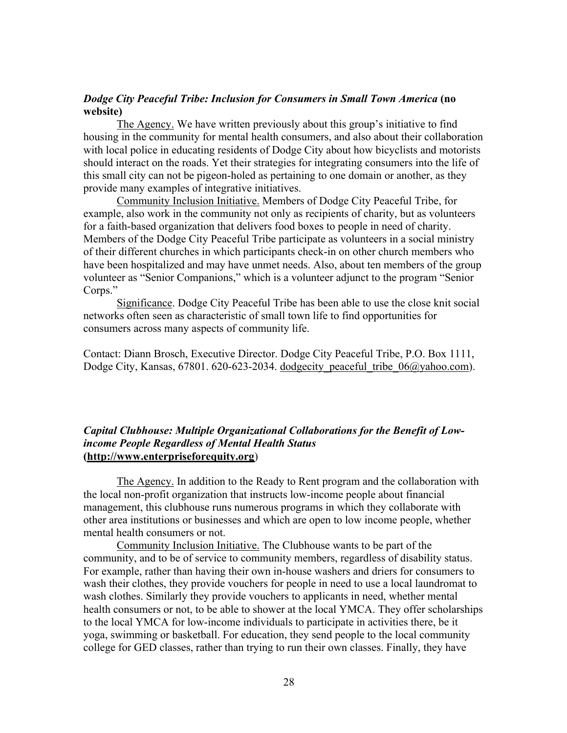## *Dodge City Peaceful Tribe: Inclusion for Consumers in Small Town America* **(no website)**

The Agency. We have written previously about this group's initiative to find housing in the community for mental health consumers, and also about their collaboration with local police in educating residents of Dodge City about how bicyclists and motorists should interact on the roads. Yet their strategies for integrating consumers into the life of this small city can not be pigeon-holed as pertaining to one domain or another, as they provide many examples of integrative initiatives.

Community Inclusion Initiative. Members of Dodge City Peaceful Tribe, for example, also work in the community not only as recipients of charity, but as volunteers for a faith-based organization that delivers food boxes to people in need of charity. Members of the Dodge City Peaceful Tribe participate as volunteers in a social ministry of their different churches in which participants check-in on other church members who have been hospitalized and may have unmet needs. Also, about ten members of the group volunteer as "Senior Companions," which is a volunteer adjunct to the program "Senior Corps."

Significance. Dodge City Peaceful Tribe has been able to use the close knit social networks often seen as characteristic of small town life to find opportunities for consumers across many aspects of community life.

Contact: Diann Brosch, Executive Director. Dodge City Peaceful Tribe, P.O. Box 1111, Dodge City, Kansas, 67801. 620-623-2034. dodgecity peaceful tribe 06@yahoo.com).

# *Capital Clubhouse: Multiple Organizational Collaborations for the Benefit of Lowincome People Regardless of Mental Health Status*  **(http://www.enterpriseforequity.org**)

The Agency. In addition to the Ready to Rent program and the collaboration with the local non-profit organization that instructs low-income people about financial management, this clubhouse runs numerous programs in which they collaborate with other area institutions or businesses and which are open to low income people, whether mental health consumers or not.

Community Inclusion Initiative. The Clubhouse wants to be part of the community, and to be of service to community members, regardless of disability status. For example, rather than having their own in-house washers and driers for consumers to wash their clothes, they provide vouchers for people in need to use a local laundromat to wash clothes. Similarly they provide vouchers to applicants in need, whether mental health consumers or not, to be able to shower at the local YMCA. They offer scholarships to the local YMCA for low-income individuals to participate in activities there, be it yoga, swimming or basketball. For education, they send people to the local community college for GED classes, rather than trying to run their own classes. Finally, they have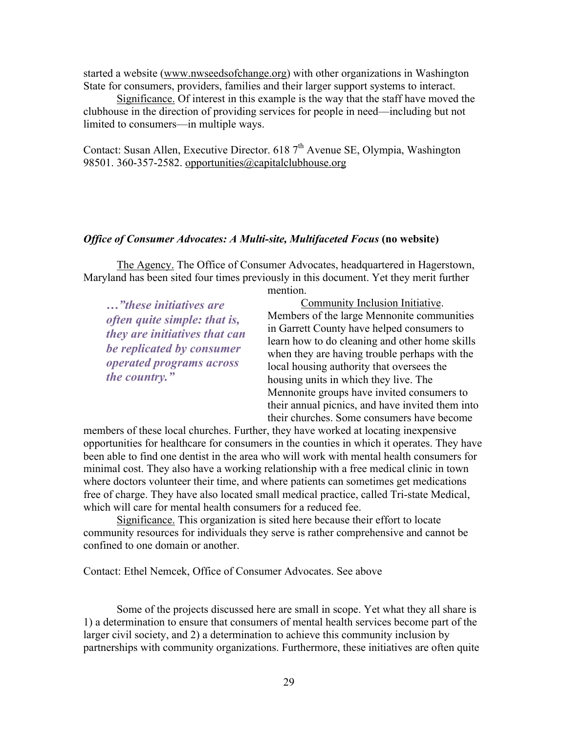started a website (www.nwseedsofchange.org) with other organizations in Washington State for consumers, providers, families and their larger support systems to interact.

Significance. Of interest in this example is the way that the staff have moved the clubhouse in the direction of providing services for people in need—including but not limited to consumers—in multiple ways.

Contact: Susan Allen, Executive Director.  $6187<sup>th</sup>$  Avenue SE, Olympia, Washington 98501. 360-357-2582. opportunities@capitalclubhouse.org

#### *Office of Consumer Advocates: A Multi-site, Multifaceted Focus* **(no website)**

The Agency. The Office of Consumer Advocates, headquartered in Hagerstown, Maryland has been sited four times previously in this document. Yet they merit further mention.

*…"these initiatives are often quite simple: that is, they are initiatives that can be replicated by consumer operated programs across the country."* 

Community Inclusion Initiative. Members of the large Mennonite communities in Garrett County have helped consumers to learn how to do cleaning and other home skills when they are having trouble perhaps with the local housing authority that oversees the housing units in which they live. The Mennonite groups have invited consumers to their annual picnics, and have invited them into their churches. Some consumers have become

members of these local churches. Further, they have worked at locating inexpensive opportunities for healthcare for consumers in the counties in which it operates. They have been able to find one dentist in the area who will work with mental health consumers for minimal cost. They also have a working relationship with a free medical clinic in town where doctors volunteer their time, and where patients can sometimes get medications free of charge. They have also located small medical practice, called Tri-state Medical, which will care for mental health consumers for a reduced fee.

Significance. This organization is sited here because their effort to locate community resources for individuals they serve is rather comprehensive and cannot be confined to one domain or another.

Contact: Ethel Nemcek, Office of Consumer Advocates. See above

Some of the projects discussed here are small in scope. Yet what they all share is 1) a determination to ensure that consumers of mental health services become part of the larger civil society, and 2) a determination to achieve this community inclusion by partnerships with community organizations. Furthermore, these initiatives are often quite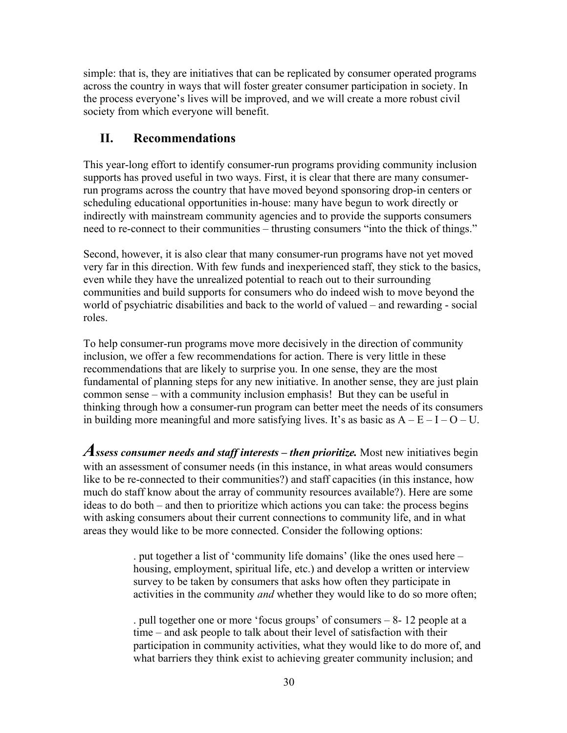simple: that is, they are initiatives that can be replicated by consumer operated programs across the country in ways that will foster greater consumer participation in society. In the process everyone's lives will be improved, and we will create a more robust civil society from which everyone will benefit.

# **II. Recommendations**

This year-long effort to identify consumer-run programs providing community inclusion supports has proved useful in two ways. First, it is clear that there are many consumerrun programs across the country that have moved beyond sponsoring drop-in centers or scheduling educational opportunities in-house: many have begun to work directly or indirectly with mainstream community agencies and to provide the supports consumers need to re-connect to their communities – thrusting consumers "into the thick of things."

Second, however, it is also clear that many consumer-run programs have not yet moved very far in this direction. With few funds and inexperienced staff, they stick to the basics, even while they have the unrealized potential to reach out to their surrounding communities and build supports for consumers who do indeed wish to move beyond the world of psychiatric disabilities and back to the world of valued – and rewarding - social roles.

To help consumer-run programs move more decisively in the direction of community inclusion, we offer a few recommendations for action. There is very little in these recommendations that are likely to surprise you. In one sense, they are the most fundamental of planning steps for any new initiative. In another sense, they are just plain common sense – with a community inclusion emphasis! But they can be useful in thinking through how a consumer-run program can better meet the needs of its consumers in building more meaningful and more satisfying lives. It's as basic as  $A - E - I - O - U$ .

Assess consumer needs and staff interests – then prioritize. Most new initiatives begin with an assessment of consumer needs (in this instance, in what areas would consumers like to be re-connected to their communities?) and staff capacities (in this instance, how much do staff know about the array of community resources available?). Here are some ideas to do both – and then to prioritize which actions you can take: the process begins with asking consumers about their current connections to community life, and in what areas they would like to be more connected. Consider the following options:

> . put together a list of 'community life domains' (like the ones used here – housing, employment, spiritual life, etc.) and develop a written or interview survey to be taken by consumers that asks how often they participate in activities in the community *and* whether they would like to do so more often;

. pull together one or more 'focus groups' of consumers – 8- 12 people at a time – and ask people to talk about their level of satisfaction with their participation in community activities, what they would like to do more of, and what barriers they think exist to achieving greater community inclusion; and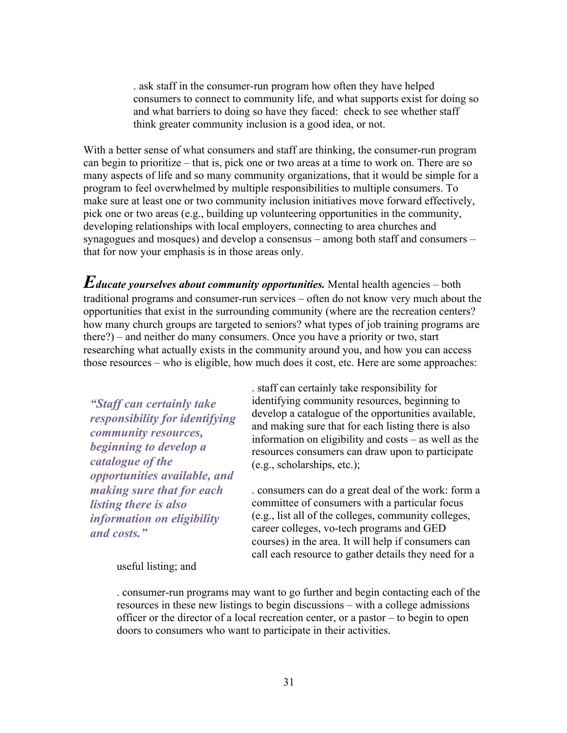. ask staff in the consumer-run program how often they have helped consumers to connect to community life, and what supports exist for doing so and what barriers to doing so have they faced: check to see whether staff think greater community inclusion is a good idea, or not.

With a better sense of what consumers and staff are thinking, the consumer-run program can begin to prioritize – that is, pick one or two areas at a time to work on. There are so many aspects of life and so many community organizations, that it would be simple for a program to feel overwhelmed by multiple responsibilities to multiple consumers. To make sure at least one or two community inclusion initiatives move forward effectively, pick one or two areas (e.g., building up volunteering opportunities in the community, developing relationships with local employers, connecting to area churches and synagogues and mosques) and develop a consensus – among both staff and consumers – that for now your emphasis is in those areas only.

*Educate yourselves about community opportunities.* Mental health agencies – both traditional programs and consumer-run services – often do not know very much about the opportunities that exist in the surrounding community (where are the recreation centers? how many church groups are targeted to seniors? what types of job training programs are there?) – and neither do many consumers. Once you have a priority or two, start researching what actually exists in the community around you, and how you can access those resources – who is eligible, how much does it cost, etc. Here are some approaches:

*"Staff can certainly take responsibility for identifying community resources, beginning to develop a catalogue of the opportunities available, and making sure that for each listing there is also information on eligibility and costs."*

. staff can certainly take responsibility for identifying community resources, beginning to develop a catalogue of the opportunities available, and making sure that for each listing there is also information on eligibility and costs – as well as the resources consumers can draw upon to participate (e.g., scholarships, etc.);

. consumers can do a great deal of the work: form a committee of consumers with a particular focus (e.g., list all of the colleges, community colleges, career colleges, vo-tech programs and GED courses) in the area. It will help if consumers can call each resource to gather details they need for a

useful listing; and

. consumer-run programs may want to go further and begin contacting each of the resources in these new listings to begin discussions – with a college admissions officer or the director of a local recreation center, or a pastor – to begin to open doors to consumers who want to participate in their activities.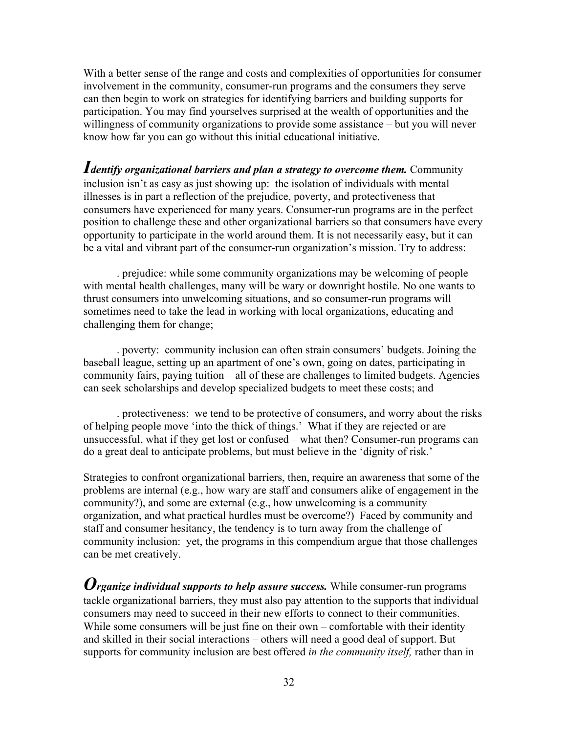With a better sense of the range and costs and complexities of opportunities for consumer involvement in the community, consumer-run programs and the consumers they serve can then begin to work on strategies for identifying barriers and building supports for participation. You may find yourselves surprised at the wealth of opportunities and the willingness of community organizations to provide some assistance – but you will never know how far you can go without this initial educational initiative.

*Identify organizational barriers and plan a strategy to overcome them.* Community inclusion isn't as easy as just showing up: the isolation of individuals with mental illnesses is in part a reflection of the prejudice, poverty, and protectiveness that consumers have experienced for many years. Consumer-run programs are in the perfect position to challenge these and other organizational barriers so that consumers have every opportunity to participate in the world around them. It is not necessarily easy, but it can be a vital and vibrant part of the consumer-run organization's mission. Try to address:

. prejudice: while some community organizations may be welcoming of people with mental health challenges, many will be wary or downright hostile. No one wants to thrust consumers into unwelcoming situations, and so consumer-run programs will sometimes need to take the lead in working with local organizations, educating and challenging them for change;

. poverty: community inclusion can often strain consumers' budgets. Joining the baseball league, setting up an apartment of one's own, going on dates, participating in community fairs, paying tuition – all of these are challenges to limited budgets. Agencies can seek scholarships and develop specialized budgets to meet these costs; and

 . protectiveness: we tend to be protective of consumers, and worry about the risks of helping people move 'into the thick of things.' What if they are rejected or are unsuccessful, what if they get lost or confused – what then? Consumer-run programs can do a great deal to anticipate problems, but must believe in the 'dignity of risk.'

Strategies to confront organizational barriers, then, require an awareness that some of the problems are internal (e.g., how wary are staff and consumers alike of engagement in the community?), and some are external (e.g., how unwelcoming is a community organization, and what practical hurdles must be overcome?) Faced by community and staff and consumer hesitancy, the tendency is to turn away from the challenge of community inclusion: yet, the programs in this compendium argue that those challenges can be met creatively.

*Organize individual supports to help assure success.* While consumer-run programs tackle organizational barriers, they must also pay attention to the supports that individual consumers may need to succeed in their new efforts to connect to their communities. While some consumers will be just fine on their own – comfortable with their identity and skilled in their social interactions – others will need a good deal of support. But supports for community inclusion are best offered *in the community itself,* rather than in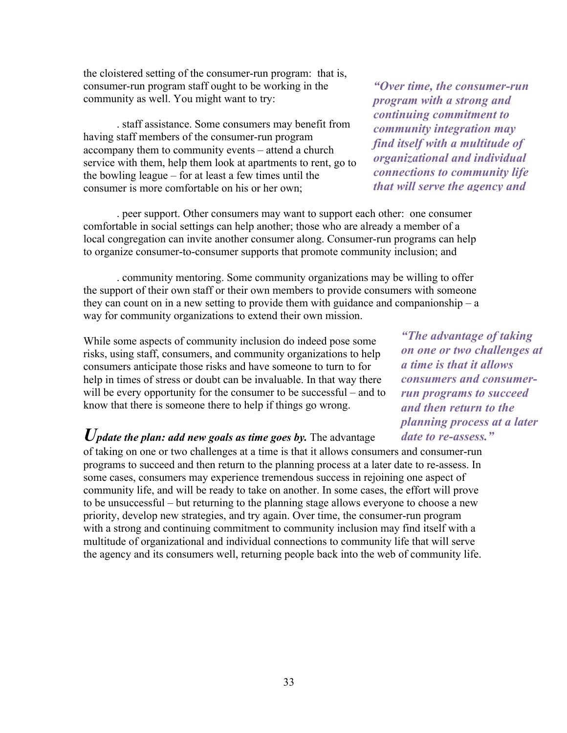the cloistered setting of the consumer-run program: that is, consumer-run program staff ought to be working in the community as well. You might want to try:

. staff assistance. Some consumers may benefit from having staff members of the consumer-run program accompany them to community events – attend a church service with them, help them look at apartments to rent, go to the bowling league – for at least a few times until the consumer is more comfortable on his or her own;

. peer support. Other consumers may want to support each other: one consumer comfortable in social settings can help another; those who are already a member of a local congregation can invite another consumer along. Consumer-run programs can help to organize consumer-to-consumer supports that promote community inclusion; and

. community mentoring. Some community organizations may be willing to offer the support of their own staff or their own members to provide consumers with someone they can count on in a new setting to provide them with guidance and companionship – a way for community organizations to extend their own mission.

While some aspects of community inclusion do indeed pose some risks, using staff, consumers, and community organizations to help consumers anticipate those risks and have someone to turn to for help in times of stress or doubt can be invaluable. In that way there will be every opportunity for the consumer to be successful – and to know that there is someone there to help if things go wrong.

*Update the plan: add new goals as time goes by.* The advantage

of taking on one or two challenges at a time is that it allows consumers and consumer-run programs to succeed and then return to the planning process at a later date to re-assess. In some cases, consumers may experience tremendous success in rejoining one aspect of community life, and will be ready to take on another. In some cases, the effort will prove to be unsuccessful – but returning to the planning stage allows everyone to choose a new priority, develop new strategies, and try again. Over time, the consumer-run program with a strong and continuing commitment to community inclusion may find itself with a multitude of organizational and individual connections to community life that will serve the agency and its consumers well, returning people back into the web of community life.

*"Over time, the consumer-run program with a strong and continuing commitment to community integration may find itself with a multitude of organizational and individual connections to community life that will serve the agency and* 

> *"The advantage of taking on one or two challenges at a time is that it allows consumers and consumerrun programs to succeed and then return to the planning process at a later date to re-assess."*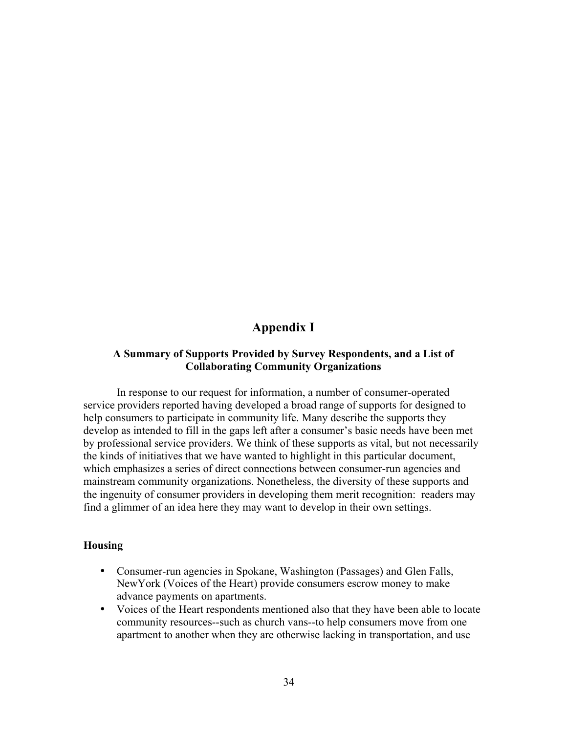# **Appendix I**

# **A Summary of Supports Provided by Survey Respondents, and a List of Collaborating Community Organizations**

In response to our request for information, a number of consumer-operated service providers reported having developed a broad range of supports for designed to help consumers to participate in community life. Many describe the supports they develop as intended to fill in the gaps left after a consumer's basic needs have been met by professional service providers. We think of these supports as vital, but not necessarily the kinds of initiatives that we have wanted to highlight in this particular document, which emphasizes a series of direct connections between consumer-run agencies and mainstream community organizations. Nonetheless, the diversity of these supports and the ingenuity of consumer providers in developing them merit recognition: readers may find a glimmer of an idea here they may want to develop in their own settings.

#### **Housing**

- Consumer-run agencies in Spokane, Washington (Passages) and Glen Falls, NewYork (Voices of the Heart) provide consumers escrow money to make advance payments on apartments.
- Voices of the Heart respondents mentioned also that they have been able to locate community resources--such as church vans--to help consumers move from one apartment to another when they are otherwise lacking in transportation, and use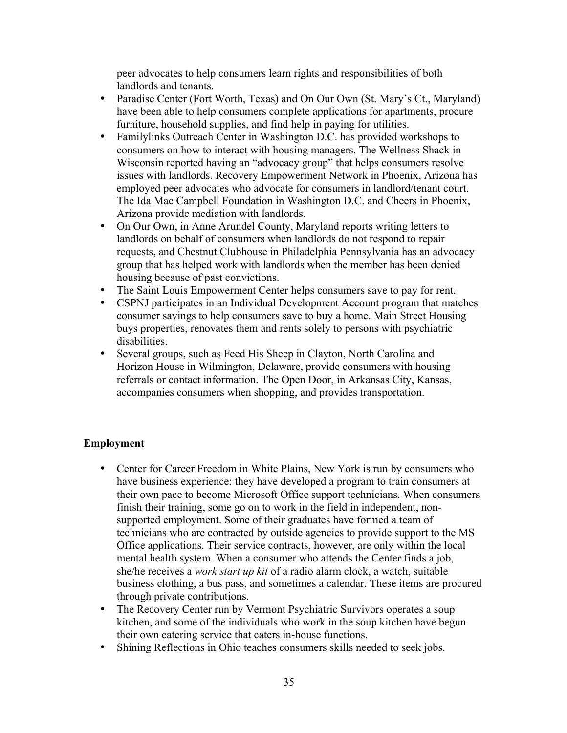peer advocates to help consumers learn rights and responsibilities of both landlords and tenants.

- Paradise Center (Fort Worth, Texas) and On Our Own (St. Mary's Ct., Maryland) have been able to help consumers complete applications for apartments, procure furniture, household supplies, and find help in paying for utilities.
- Familylinks Outreach Center in Washington D.C. has provided workshops to consumers on how to interact with housing managers. The Wellness Shack in Wisconsin reported having an "advocacy group" that helps consumers resolve issues with landlords. Recovery Empowerment Network in Phoenix, Arizona has employed peer advocates who advocate for consumers in landlord/tenant court. The Ida Mae Campbell Foundation in Washington D.C. and Cheers in Phoenix, Arizona provide mediation with landlords.
- On Our Own, in Anne Arundel County, Maryland reports writing letters to landlords on behalf of consumers when landlords do not respond to repair requests, and Chestnut Clubhouse in Philadelphia Pennsylvania has an advocacy group that has helped work with landlords when the member has been denied housing because of past convictions.
- The Saint Louis Empowerment Center helps consumers save to pay for rent.
- CSPNJ participates in an Individual Development Account program that matches consumer savings to help consumers save to buy a home. Main Street Housing buys properties, renovates them and rents solely to persons with psychiatric disabilities.
- Several groups, such as Feed His Sheep in Clayton, North Carolina and Horizon House in Wilmington, Delaware, provide consumers with housing referrals or contact information. The Open Door, in Arkansas City, Kansas, accompanies consumers when shopping, and provides transportation.

# **Employment**

- Center for Career Freedom in White Plains, New York is run by consumers who have business experience: they have developed a program to train consumers at their own pace to become Microsoft Office support technicians. When consumers finish their training, some go on to work in the field in independent, nonsupported employment. Some of their graduates have formed a team of technicians who are contracted by outside agencies to provide support to the MS Office applications. Their service contracts, however, are only within the local mental health system. When a consumer who attends the Center finds a job, she/he receives a *work start up kit* of a radio alarm clock, a watch, suitable business clothing, a bus pass, and sometimes a calendar. These items are procured through private contributions.
- The Recovery Center run by Vermont Psychiatric Survivors operates a soup kitchen, and some of the individuals who work in the soup kitchen have begun their own catering service that caters in-house functions.
- Shining Reflections in Ohio teaches consumers skills needed to seek jobs.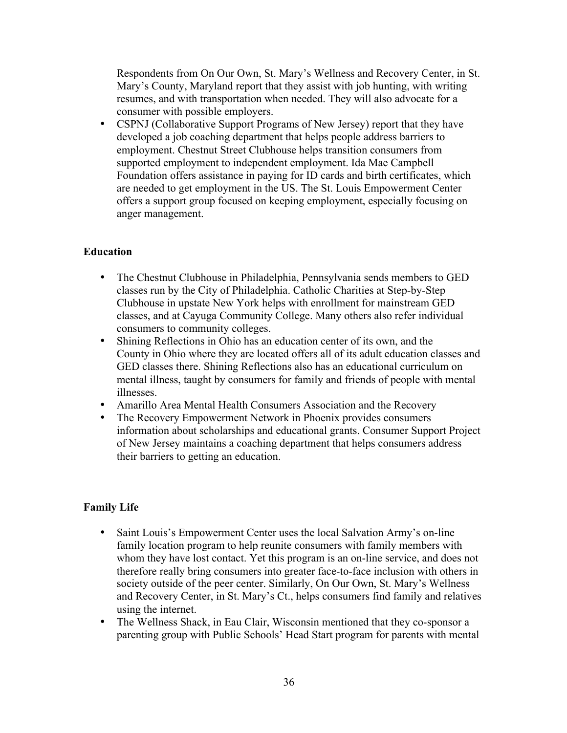Respondents from On Our Own, St. Mary's Wellness and Recovery Center, in St. Mary's County, Maryland report that they assist with job hunting, with writing resumes, and with transportation when needed. They will also advocate for a consumer with possible employers.

• CSPNJ (Collaborative Support Programs of New Jersey) report that they have developed a job coaching department that helps people address barriers to employment. Chestnut Street Clubhouse helps transition consumers from supported employment to independent employment. Ida Mae Campbell Foundation offers assistance in paying for ID cards and birth certificates, which are needed to get employment in the US. The St. Louis Empowerment Center offers a support group focused on keeping employment, especially focusing on anger management.

# **Education**

- The Chestnut Clubhouse in Philadelphia, Pennsylvania sends members to GED classes run by the City of Philadelphia. Catholic Charities at Step-by-Step Clubhouse in upstate New York helps with enrollment for mainstream GED classes, and at Cayuga Community College. Many others also refer individual consumers to community colleges.
- Shining Reflections in Ohio has an education center of its own, and the County in Ohio where they are located offers all of its adult education classes and GED classes there. Shining Reflections also has an educational curriculum on mental illness, taught by consumers for family and friends of people with mental illnesses.
- Amarillo Area Mental Health Consumers Association and the Recovery
- The Recovery Empowerment Network in Phoenix provides consumers information about scholarships and educational grants. Consumer Support Project of New Jersey maintains a coaching department that helps consumers address their barriers to getting an education.

# **Family Life**

- Saint Louis's Empowerment Center uses the local Salvation Army's on-line family location program to help reunite consumers with family members with whom they have lost contact. Yet this program is an on-line service, and does not therefore really bring consumers into greater face-to-face inclusion with others in society outside of the peer center. Similarly, On Our Own, St. Mary's Wellness and Recovery Center, in St. Mary's Ct., helps consumers find family and relatives using the internet.
- The Wellness Shack, in Eau Clair, Wisconsin mentioned that they co-sponsor a parenting group with Public Schools' Head Start program for parents with mental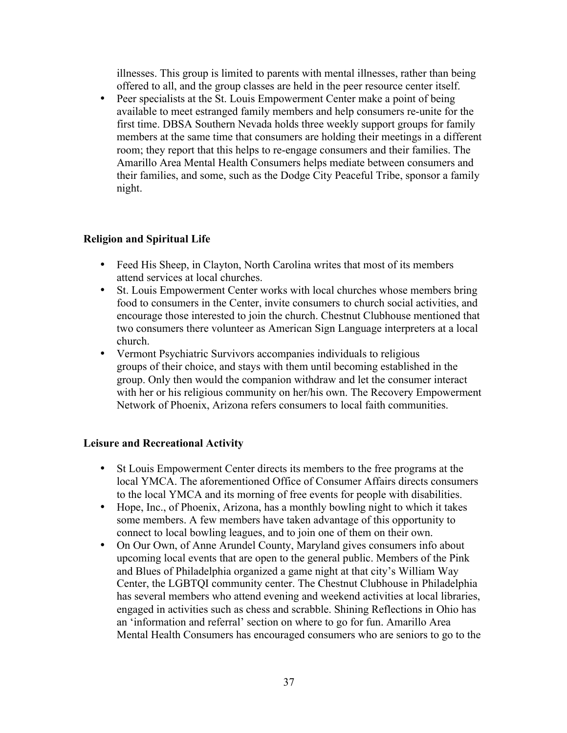illnesses. This group is limited to parents with mental illnesses, rather than being offered to all, and the group classes are held in the peer resource center itself.

• Peer specialists at the St. Louis Empowerment Center make a point of being available to meet estranged family members and help consumers re-unite for the first time. DBSA Southern Nevada holds three weekly support groups for family members at the same time that consumers are holding their meetings in a different room; they report that this helps to re-engage consumers and their families. The Amarillo Area Mental Health Consumers helps mediate between consumers and their families, and some, such as the Dodge City Peaceful Tribe, sponsor a family night.

# **Religion and Spiritual Life**

- Feed His Sheep, in Clayton, North Carolina writes that most of its members attend services at local churches.
- St. Louis Empowerment Center works with local churches whose members bring food to consumers in the Center, invite consumers to church social activities, and encourage those interested to join the church. Chestnut Clubhouse mentioned that two consumers there volunteer as American Sign Language interpreters at a local church.
- Vermont Psychiatric Survivors accompanies individuals to religious groups of their choice, and stays with them until becoming established in the group. Only then would the companion withdraw and let the consumer interact with her or his religious community on her/his own. The Recovery Empowerment Network of Phoenix, Arizona refers consumers to local faith communities.

#### **Leisure and Recreational Activity**

- St Louis Empowerment Center directs its members to the free programs at the local YMCA. The aforementioned Office of Consumer Affairs directs consumers to the local YMCA and its morning of free events for people with disabilities.
- Hope, Inc., of Phoenix, Arizona, has a monthly bowling night to which it takes some members. A few members have taken advantage of this opportunity to connect to local bowling leagues, and to join one of them on their own.
- On Our Own, of Anne Arundel County, Maryland gives consumers info about upcoming local events that are open to the general public. Members of the Pink and Blues of Philadelphia organized a game night at that city's William Way Center, the LGBTQI community center. The Chestnut Clubhouse in Philadelphia has several members who attend evening and weekend activities at local libraries, engaged in activities such as chess and scrabble. Shining Reflections in Ohio has an 'information and referral' section on where to go for fun. Amarillo Area Mental Health Consumers has encouraged consumers who are seniors to go to the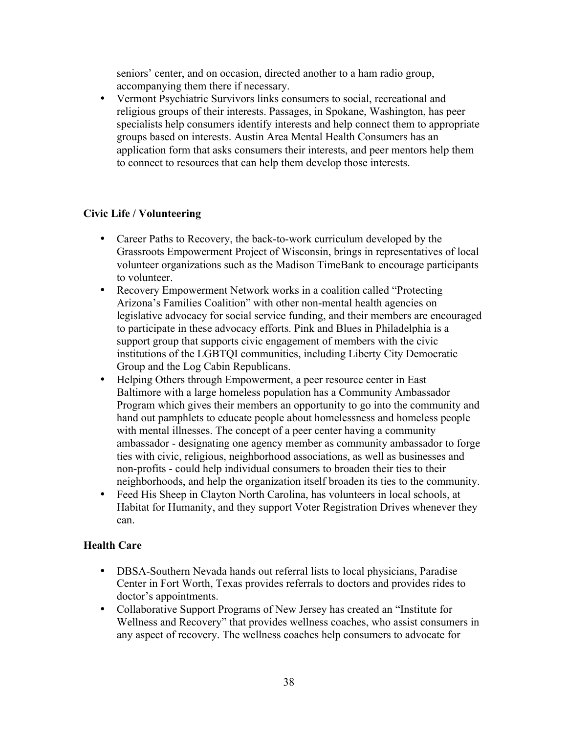seniors' center, and on occasion, directed another to a ham radio group, accompanying them there if necessary.

• Vermont Psychiatric Survivors links consumers to social, recreational and religious groups of their interests. Passages, in Spokane, Washington, has peer specialists help consumers identify interests and help connect them to appropriate groups based on interests. Austin Area Mental Health Consumers has an application form that asks consumers their interests, and peer mentors help them to connect to resources that can help them develop those interests.

# **Civic Life / Volunteering**

- Career Paths to Recovery, the back-to-work curriculum developed by the Grassroots Empowerment Project of Wisconsin, brings in representatives of local volunteer organizations such as the Madison TimeBank to encourage participants to volunteer.
- Recovery Empowerment Network works in a coalition called "Protecting Arizona's Families Coalition" with other non-mental health agencies on legislative advocacy for social service funding, and their members are encouraged to participate in these advocacy efforts. Pink and Blues in Philadelphia is a support group that supports civic engagement of members with the civic institutions of the LGBTQI communities, including Liberty City Democratic Group and the Log Cabin Republicans.
- Helping Others through Empowerment, a peer resource center in East Baltimore with a large homeless population has a Community Ambassador Program which gives their members an opportunity to go into the community and hand out pamphlets to educate people about homelessness and homeless people with mental illnesses. The concept of a peer center having a community ambassador - designating one agency member as community ambassador to forge ties with civic, religious, neighborhood associations, as well as businesses and non-profits - could help individual consumers to broaden their ties to their neighborhoods, and help the organization itself broaden its ties to the community.
- Feed His Sheep in Clayton North Carolina, has volunteers in local schools, at Habitat for Humanity, and they support Voter Registration Drives whenever they can.

# **Health Care**

- DBSA-Southern Nevada hands out referral lists to local physicians. Paradise Center in Fort Worth, Texas provides referrals to doctors and provides rides to doctor's appointments.
- Collaborative Support Programs of New Jersey has created an "Institute for Wellness and Recovery" that provides wellness coaches, who assist consumers in any aspect of recovery. The wellness coaches help consumers to advocate for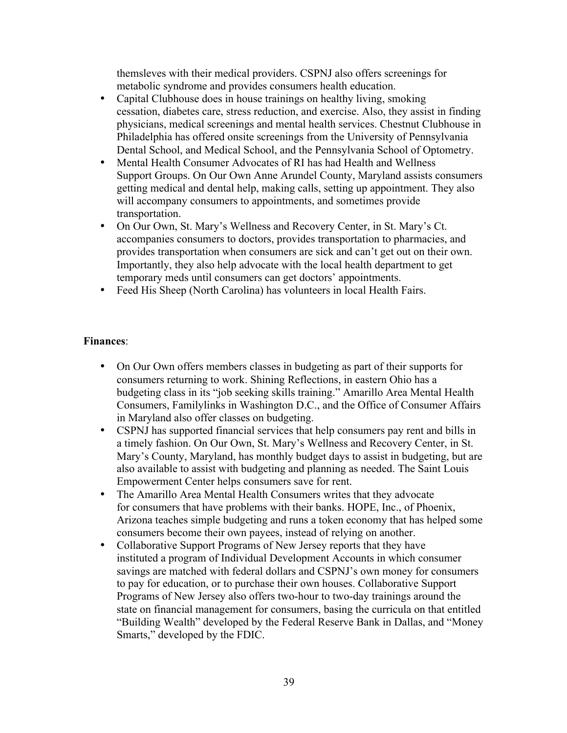themsleves with their medical providers. CSPNJ also offers screenings for metabolic syndrome and provides consumers health education.

- Capital Clubhouse does in house trainings on healthy living, smoking cessation, diabetes care, stress reduction, and exercise. Also, they assist in finding physicians, medical screenings and mental health services. Chestnut Clubhouse in Philadelphia has offered onsite screenings from the University of Pennsylvania Dental School, and Medical School, and the Pennsylvania School of Optometry.
- Mental Health Consumer Advocates of RI has had Health and Wellness Support Groups. On Our Own Anne Arundel County, Maryland assists consumers getting medical and dental help, making calls, setting up appointment. They also will accompany consumers to appointments, and sometimes provide transportation.
- On Our Own, St. Mary's Wellness and Recovery Center, in St. Mary's Ct. accompanies consumers to doctors, provides transportation to pharmacies, and provides transportation when consumers are sick and can't get out on their own. Importantly, they also help advocate with the local health department to get temporary meds until consumers can get doctors' appointments.
- Feed His Sheep (North Carolina) has volunteers in local Health Fairs.

#### **Finances**:

- On Our Own offers members classes in budgeting as part of their supports for consumers returning to work. Shining Reflections, in eastern Ohio has a budgeting class in its "job seeking skills training." Amarillo Area Mental Health Consumers, Familylinks in Washington D.C., and the Office of Consumer Affairs in Maryland also offer classes on budgeting.
- CSPNJ has supported financial services that help consumers pay rent and bills in a timely fashion. On Our Own, St. Mary's Wellness and Recovery Center, in St. Mary's County, Maryland, has monthly budget days to assist in budgeting, but are also available to assist with budgeting and planning as needed. The Saint Louis Empowerment Center helps consumers save for rent.
- The Amarillo Area Mental Health Consumers writes that they advocate for consumers that have problems with their banks. HOPE, Inc., of Phoenix, Arizona teaches simple budgeting and runs a token economy that has helped some consumers become their own payees, instead of relying on another.
- Collaborative Support Programs of New Jersey reports that they have instituted a program of Individual Development Accounts in which consumer savings are matched with federal dollars and CSPNJ's own money for consumers to pay for education, or to purchase their own houses. Collaborative Support Programs of New Jersey also offers two-hour to two-day trainings around the state on financial management for consumers, basing the curricula on that entitled "Building Wealth" developed by the Federal Reserve Bank in Dallas, and "Money Smarts," developed by the FDIC.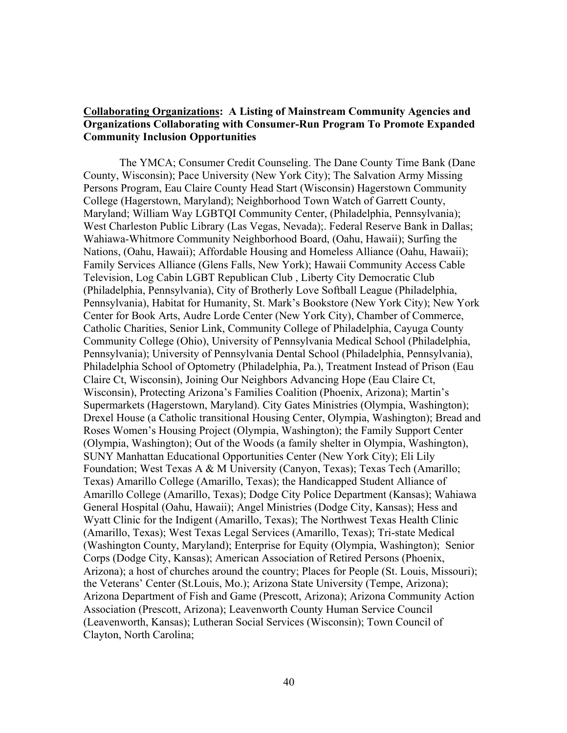# **Collaborating Organizations: A Listing of Mainstream Community Agencies and Organizations Collaborating with Consumer-Run Program To Promote Expanded Community Inclusion Opportunities**

The YMCA; Consumer Credit Counseling. The Dane County Time Bank (Dane County, Wisconsin); Pace University (New York City); The Salvation Army Missing Persons Program, Eau Claire County Head Start (Wisconsin) Hagerstown Community College (Hagerstown, Maryland); Neighborhood Town Watch of Garrett County, Maryland; William Way LGBTQI Community Center, (Philadelphia, Pennsylvania); West Charleston Public Library (Las Vegas, Nevada);. Federal Reserve Bank in Dallas; Wahiawa-Whitmore Community Neighborhood Board, (Oahu, Hawaii); Surfing the Nations, (Oahu, Hawaii); Affordable Housing and Homeless Alliance (Oahu, Hawaii); Family Services Alliance (Glens Falls, New York); Hawaii Community Access Cable Television, Log Cabin LGBT Republican Club , Liberty City Democratic Club (Philadelphia, Pennsylvania), City of Brotherly Love Softball League (Philadelphia, Pennsylvania), Habitat for Humanity, St. Mark's Bookstore (New York City); New York Center for Book Arts, Audre Lorde Center (New York City), Chamber of Commerce, Catholic Charities, Senior Link, Community College of Philadelphia, Cayuga County Community College (Ohio), University of Pennsylvania Medical School (Philadelphia, Pennsylvania); University of Pennsylvania Dental School (Philadelphia, Pennsylvania), Philadelphia School of Optometry (Philadelphia, Pa.), Treatment Instead of Prison (Eau Claire Ct, Wisconsin), Joining Our Neighbors Advancing Hope (Eau Claire Ct, Wisconsin), Protecting Arizona's Families Coalition (Phoenix, Arizona); Martin's Supermarkets (Hagerstown, Maryland). City Gates Ministries (Olympia, Washington); Drexel House (a Catholic transitional Housing Center, Olympia, Washington); Bread and Roses Women's Housing Project (Olympia, Washington); the Family Support Center (Olympia, Washington); Out of the Woods (a family shelter in Olympia, Washington), SUNY Manhattan Educational Opportunities Center (New York City); Eli Lily Foundation; West Texas A & M University (Canyon, Texas); Texas Tech (Amarillo; Texas) Amarillo College (Amarillo, Texas); the Handicapped Student Alliance of Amarillo College (Amarillo, Texas); Dodge City Police Department (Kansas); Wahiawa General Hospital (Oahu, Hawaii); Angel Ministries (Dodge City, Kansas); Hess and Wyatt Clinic for the Indigent (Amarillo, Texas); The Northwest Texas Health Clinic (Amarillo, Texas); West Texas Legal Services (Amarillo, Texas); Tri-state Medical (Washington County, Maryland); Enterprise for Equity (Olympia, Washington); Senior Corps (Dodge City, Kansas); American Association of Retired Persons (Phoenix, Arizona); a host of churches around the country; Places for People (St. Louis, Missouri); the Veterans' Center (St.Louis, Mo.); Arizona State University (Tempe, Arizona); Arizona Department of Fish and Game (Prescott, Arizona); Arizona Community Action Association (Prescott, Arizona); Leavenworth County Human Service Council (Leavenworth, Kansas); Lutheran Social Services (Wisconsin); Town Council of Clayton, North Carolina;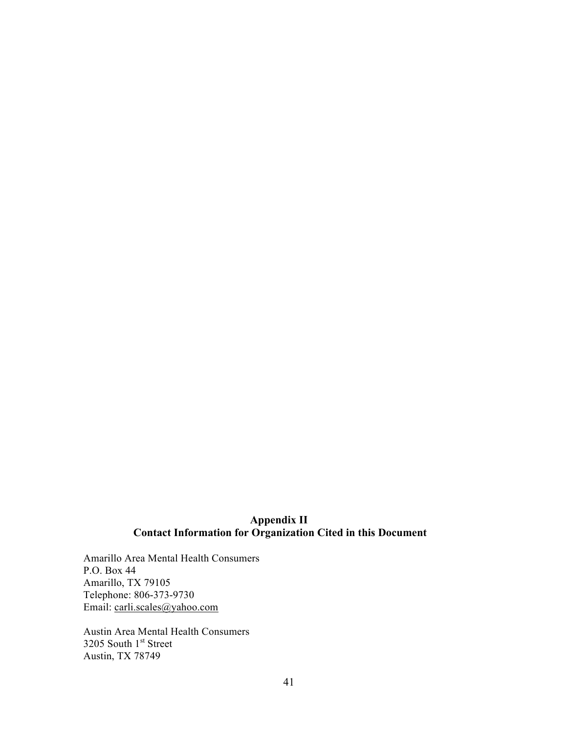# **Appendix II Contact Information for Organization Cited in this Document**

Amarillo Area Mental Health Consumers P.O. Box 44 Amarillo, TX 79105 Telephone: 806-373-9730 Email: carli.scales@yahoo.com

Austin Area Mental Health Consumers 3205 South 1st Street Austin, TX 78749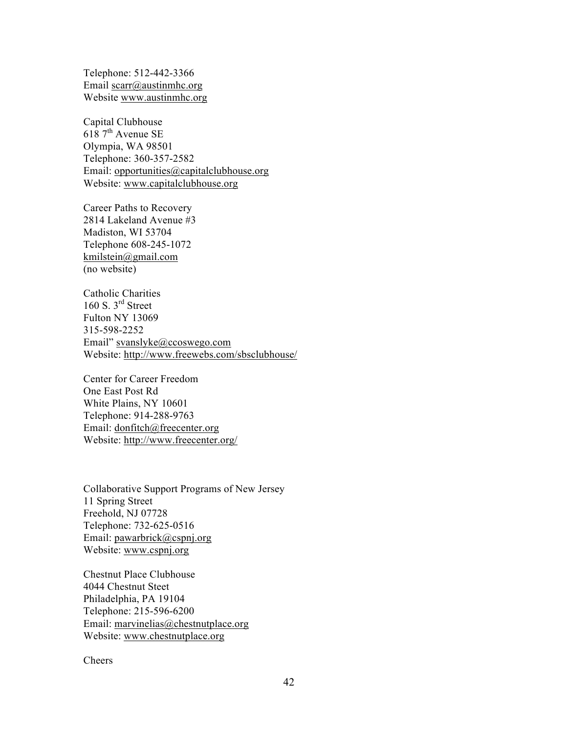Telephone: 512-442-3366 Email scarr@austinmhc.org Website www.austinmhc.org

Capital Clubhouse  $618$  7<sup>th</sup> Avenue SE Olympia, WA 98501 Telephone: 360-357-2582 Email: opportunities@capitalclubhouse.org Website: www.capitalclubhouse.org

Career Paths to Recovery 2814 Lakeland Avenue #3 Madiston, WI 53704 Telephone 608-245-1072 kmilstein@gmail.com (no website)

Catholic Charities 160 S.  $3<sup>rd</sup>$  Street Fulton NY 13069 315-598-2252 Email" svanslyke@ccoswego.com Website: http://www.freewebs.com/sbsclubhouse/

Center for Career Freedom One East Post Rd White Plains, NY 10601 Telephone: 914-288-9763 Email: donfitch@freecenter.org Website: http://www.freecenter.org/

Collaborative Support Programs of New Jersey 11 Spring Street Freehold, NJ 07728 Telephone: 732-625-0516 Email: pawarbrick@cspnj.org Website: www.cspnj.org

Chestnut Place Clubhouse 4044 Chestnut Steet Philadelphia, PA 19104 Telephone: 215-596-6200 Email: marvinelias@chestnutplace.org Website: www.chestnutplace.org

Cheers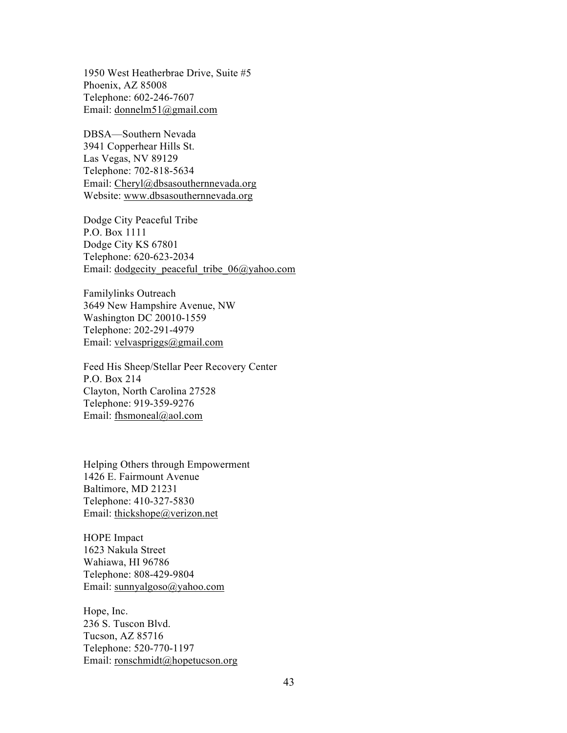1950 West Heatherbrae Drive, Suite #5 Phoenix, AZ 85008 Telephone: 602-246-7607 Email: donnelm51@gmail.com

DBSA—Southern Nevada 3941 Copperhear Hills St. Las Vegas, NV 89129 Telephone: 702-818-5634 Email: Cheryl@dbsasouthernnevada.org Website: www.dbsasouthernnevada.org

Dodge City Peaceful Tribe P.O. Box 1111 Dodge City KS 67801 Telephone: 620-623-2034 Email: dodgecity peaceful tribe  $06@yahoo.com$ 

Familylinks Outreach 3649 New Hampshire Avenue, NW Washington DC 20010-1559 Telephone: 202-291-4979 Email: velvaspriggs@gmail.com

Feed His Sheep/Stellar Peer Recovery Center P.O. Box 214 Clayton, North Carolina 27528 Telephone: 919-359-9276 Email: fhsmoneal@aol.com

Helping Others through Empowerment 1426 E. Fairmount Avenue Baltimore, MD 21231 Telephone: 410-327-5830 Email: thickshope@verizon.net

HOPE Impact 1623 Nakula Street Wahiawa, HI 96786 Telephone: 808-429-9804 Email: sunnyalgoso@yahoo.com

Hope, Inc. 236 S. Tuscon Blvd. Tucson, AZ 85716 Telephone: 520-770-1197 Email: ronschmidt@hopetucson.org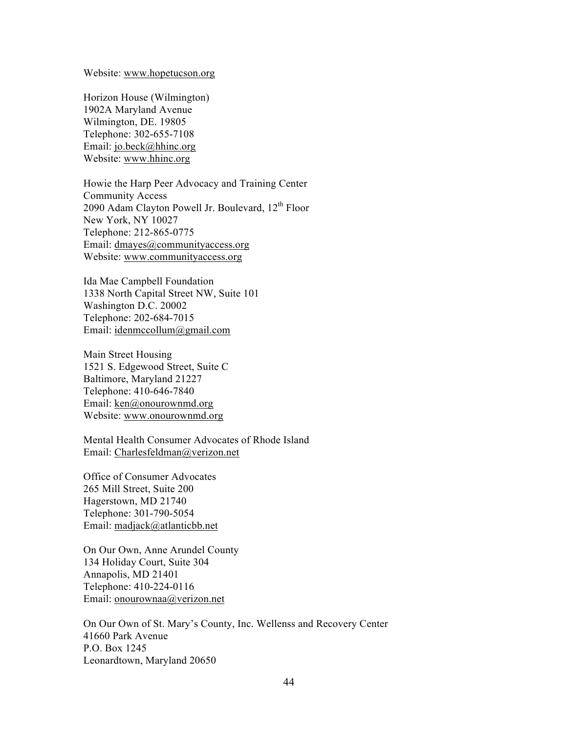Website: www.hopetucson.org

Horizon House (Wilmington) 1902A Maryland Avenue Wilmington, DE. 19805 Telephone: 302-655-7108 Email: jo.beck@hhinc.org Website: www.hhinc.org

Howie the Harp Peer Advocacy and Training Center Community Access 2090 Adam Clayton Powell Jr. Boulevard, 12<sup>th</sup> Floor New York, NY 10027 Telephone: 212-865-0775 Email: dmayes@communityaccess.org Website: www.communityaccess.org

Ida Mae Campbell Foundation 1338 North Capital Street NW, Suite 101 Washington D.C. 20002 Telephone: 202-684-7015 Email: idenmccollum@gmail.com

Main Street Housing 1521 S. Edgewood Street, Suite C Baltimore, Maryland 21227 Telephone: 410-646-7840 Email: ken@onourownmd.org Website: www.onourownmd.org

Mental Health Consumer Advocates of Rhode Island Email: Charlesfeldman@verizon.net

Office of Consumer Advocates 265 Mill Street, Suite 200 Hagerstown, MD 21740 Telephone: 301-790-5054 Email: madjack@atlanticbb.net

On Our Own, Anne Arundel County 134 Holiday Court, Suite 304 Annapolis, MD 21401 Telephone: 410-224-0116 Email: onourownaa@verizon.net

On Our Own of St. Mary's County, Inc. Wellenss and Recovery Center 41660 Park Avenue P.O. Box 1245 Leonardtown, Maryland 20650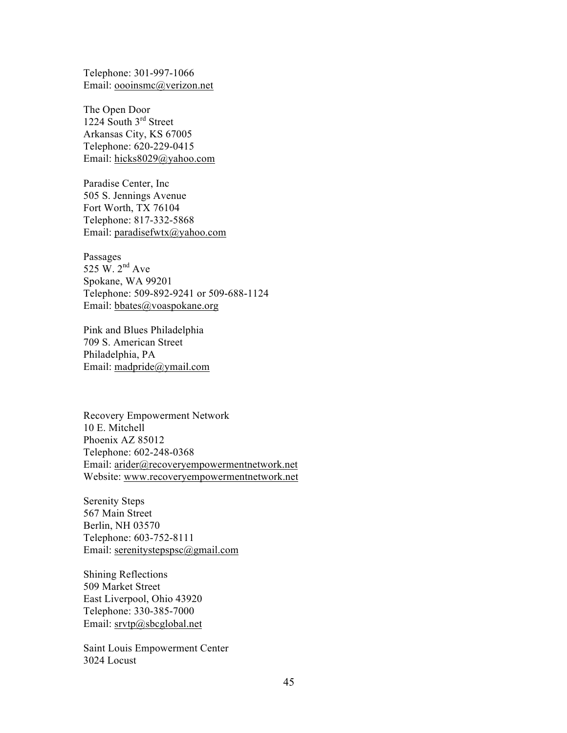Telephone: 301-997-1066 Email: oooinsmc@verizon.net

The Open Door 1224 South 3<sup>rd</sup> Street Arkansas City, KS 67005 Telephone: 620-229-0415 Email: hicks8029@yahoo.com

Paradise Center, Inc 505 S. Jennings Avenue Fort Worth, TX 76104 Telephone: 817-332-5868 Email: paradisefwtx@yahoo.com

Passages 525 W.  $2<sup>nd</sup>$  Ave Spokane, WA 99201 Telephone: 509-892-9241 or 509-688-1124 Email: bbates@voaspokane.org

Pink and Blues Philadelphia 709 S. American Street Philadelphia, PA Email: madpride@ymail.com

Recovery Empowerment Network 10 E. Mitchell Phoenix AZ 85012 Telephone: 602-248-0368 Email: arider@recoveryempowermentnetwork.net Website: www.recoveryempowermentnetwork.net

Serenity Steps 567 Main Street Berlin, NH 03570 Telephone: 603-752-8111 Email: serenitystepspsc@gmail.com

Shining Reflections 509 Market Street East Liverpool, Ohio 43920 Telephone: 330-385-7000 Email: srvtp@sbcglobal.net

Saint Louis Empowerment Center 3024 Locust